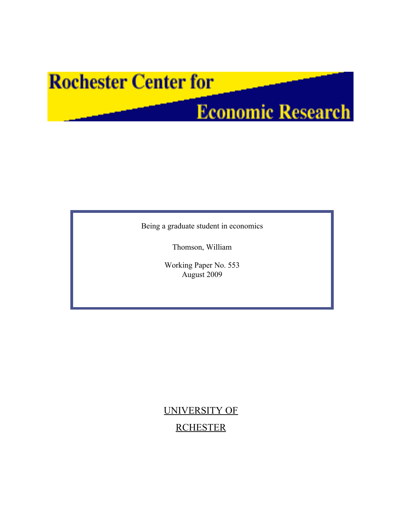

Being a graduate student in economics

Thomson, William

Working Paper No. 553 August 2009

UNIVERSITY OF **RCHESTER**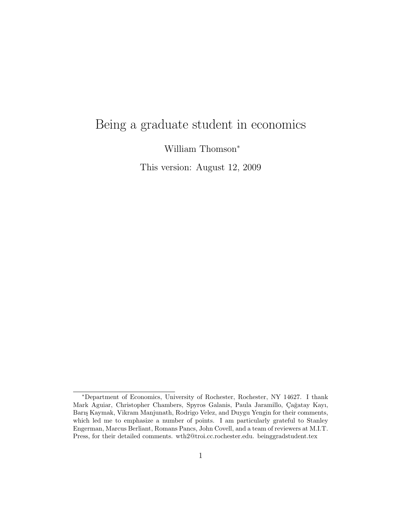# Being a graduate student in economics

William Thomson<sup>∗</sup>

This version: August 12, 2009

<sup>∗</sup>Department of Economics, University of Rochester, Rochester, NY 14627. I thank Mark Aguiar, Christopher Chambers, Spyros Galanis, Paula Jaramillo, Çağatay Kayı, Barış Kaymak, Vikram Manjunath, Rodrigo Velez, and Duygu Yengin for their comments, which led me to emphasize a number of points. I am particularly grateful to Stanley Engerman, Marcus Berliant, Romans Pancs, John Covell, and a team of reviewers at M.I.T. Press, for their detailed comments. wth2@troi.cc.rochester.edu. beinggradstudent.tex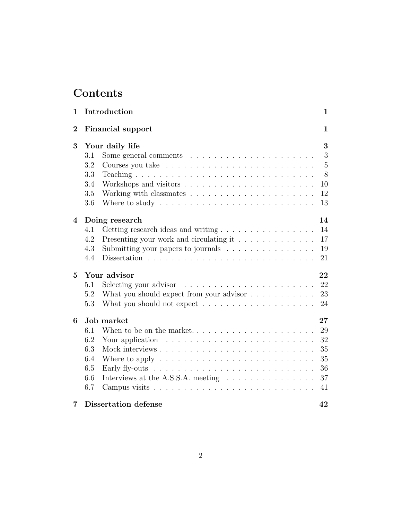# Contents

| 1                |                      | Introduction                                                                             | $\mathbf 1$    |
|------------------|----------------------|------------------------------------------------------------------------------------------|----------------|
| $\overline{2}$   |                      | <b>Financial support</b>                                                                 | $\mathbf{1}$   |
| 3                | Your daily life      |                                                                                          |                |
|                  | 3.1                  |                                                                                          | 3              |
|                  | 3.2                  |                                                                                          | $\overline{5}$ |
|                  | 3.3                  |                                                                                          | 8              |
|                  | 3.4                  |                                                                                          | 10             |
|                  | 3.5                  |                                                                                          | 12             |
|                  | 3.6                  | Where to study $\dots \dots \dots \dots \dots \dots \dots \dots \dots \dots$             | 13             |
| $\boldsymbol{4}$ | Doing research<br>14 |                                                                                          |                |
|                  | 4.1                  | Getting research ideas and writing                                                       | 14             |
|                  | 4.2                  | Presenting your work and circulating it                                                  | 17             |
|                  | 4.3                  | Submitting your papers to journals                                                       | 19             |
|                  | 4.4                  |                                                                                          | 21             |
| 5                | Your advisor<br>22   |                                                                                          |                |
|                  | 5.1                  | Selecting your advisor<br><u>. A series and a series and a series and a series and</u>   | 22             |
|                  | 5.2                  | What you should expect from your advisor $\ldots \ldots \ldots$                          | 23             |
|                  | 5.3                  |                                                                                          | 24             |
| 6                | Job market<br>27     |                                                                                          |                |
|                  | 6.1                  |                                                                                          | 29             |
|                  | 6.2                  | Your application $\ldots \ldots \ldots \ldots \ldots \ldots \ldots \ldots$               | 32             |
|                  | 6.3                  |                                                                                          | 35             |
|                  | 6.4                  | Where to apply $\dots \dots \dots \dots \dots \dots \dots \dots \dots \dots$             | 35             |
|                  | 6.5                  | Early fly-outs $\dots \dots \dots \dots \dots \dots \dots \dots \dots \dots \dots \dots$ | 36             |
|                  | 6.6                  | Interviews at the A.S.S.A. meeting $\dots \dots \dots \dots \dots$                       | 37             |
|                  | 6.7                  |                                                                                          | 41             |
| 7                |                      | Dissertation defense                                                                     | 42             |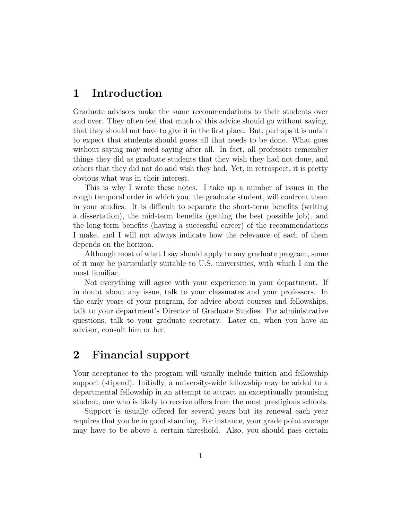### 1 Introduction

Graduate advisors make the same recommendations to their students over and over. They often feel that much of this advice should go without saying, that they should not have to give it in the first place. But, perhaps it is unfair to expect that students should guess all that needs to be done. What goes without saying may need saying after all. In fact, all professors remember things they did as graduate students that they wish they had not done, and others that they did not do and wish they had. Yet, in retrospect, it is pretty obvious what was in their interest.

This is why I wrote these notes. I take up a number of issues in the rough temporal order in which you, the graduate student, will confront them in your studies. It is difficult to separate the short-term benefits (writing a dissertation), the mid-term benefits (getting the best possible job), and the long-term benefits (having a successful career) of the recommendations I make, and I will not always indicate how the relevance of each of them depends on the horizon.

Although most of what I say should apply to any graduate program, some of it may be particularly suitable to U.S. universities, with which I am the most familiar.

Not everything will agree with your experience in your department. If in doubt about any issue, talk to your classmates and your professors. In the early years of your program, for advice about courses and fellowships, talk to your department's Director of Graduate Studies. For administrative questions, talk to your graduate secretary. Later on, when you have an advisor, consult him or her.

## 2 Financial support

Your acceptance to the program will usually include tuition and fellowship support (stipend). Initially, a university-wide fellowship may be added to a departmental fellowship in an attempt to attract an exceptionally promising student, one who is likely to receive offers from the most prestigious schools.

Support is usually offered for several years but its renewal each year requires that you be in good standing. For instance, your grade point average may have to be above a certain threshold. Also, you should pass certain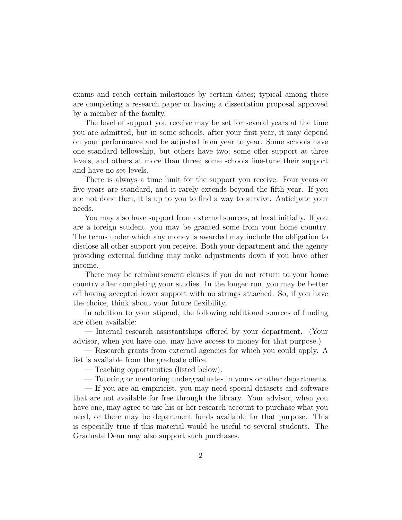exams and reach certain milestones by certain dates; typical among those are completing a research paper or having a dissertation proposal approved by a member of the faculty.

The level of support you receive may be set for several years at the time you are admitted, but in some schools, after your first year, it may depend on your performance and be adjusted from year to year. Some schools have one standard fellowship, but others have two; some offer support at three levels, and others at more than three; some schools fine-tune their support and have no set levels.

There is always a time limit for the support you receive. Four years or five years are standard, and it rarely extends beyond the fifth year. If you are not done then, it is up to you to find a way to survive. Anticipate your needs.

You may also have support from external sources, at least initially. If you are a foreign student, you may be granted some from your home country. The terms under which any money is awarded may include the obligation to disclose all other support you receive. Both your department and the agency providing external funding may make adjustments down if you have other income.

There may be reimbursement clauses if you do not return to your home country after completing your studies. In the longer run, you may be better off having accepted lower support with no strings attached. So, if you have the choice, think about your future flexibility.

In addition to your stipend, the following additional sources of funding are often available:

— Internal research assistantships offered by your department. (Your advisor, when you have one, may have access to money for that purpose.)

— Research grants from external agencies for which you could apply. A list is available from the graduate office.

— Teaching opportunities (listed below).

— Tutoring or mentoring undergraduates in yours or other departments.

— If you are an empiricist, you may need special datasets and software that are not available for free through the library. Your advisor, when you have one, may agree to use his or her research account to purchase what you need, or there may be department funds available for that purpose. This is especially true if this material would be useful to several students. The Graduate Dean may also support such purchases.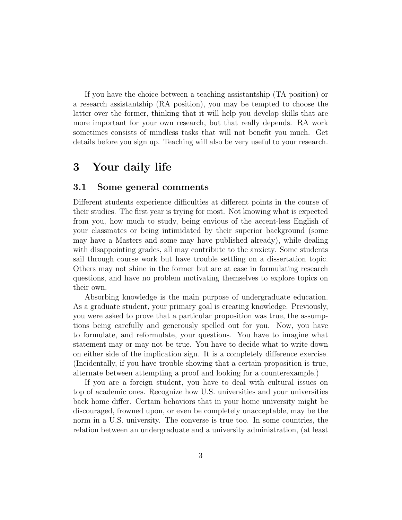If you have the choice between a teaching assistantship (TA position) or a research assistantship (RA position), you may be tempted to choose the latter over the former, thinking that it will help you develop skills that are more important for your own research, but that really depends. RA work sometimes consists of mindless tasks that will not benefit you much. Get details before you sign up. Teaching will also be very useful to your research.

### 3 Your daily life

### 3.1 Some general comments

Different students experience difficulties at different points in the course of their studies. The first year is trying for most. Not knowing what is expected from you, how much to study, being envious of the accent-less English of your classmates or being intimidated by their superior background (some may have a Masters and some may have published already), while dealing with disappointing grades, all may contribute to the anxiety. Some students sail through course work but have trouble settling on a dissertation topic. Others may not shine in the former but are at ease in formulating research questions, and have no problem motivating themselves to explore topics on their own.

Absorbing knowledge is the main purpose of undergraduate education. As a graduate student, your primary goal is creating knowledge. Previously, you were asked to prove that a particular proposition was true, the assumptions being carefully and generously spelled out for you. Now, you have to formulate, and reformulate, your questions. You have to imagine what statement may or may not be true. You have to decide what to write down on either side of the implication sign. It is a completely difference exercise. (Incidentally, if you have trouble showing that a certain proposition is true, alternate between attempting a proof and looking for a counterexample.)

If you are a foreign student, you have to deal with cultural issues on top of academic ones. Recognize how U.S. universities and your universities back home differ. Certain behaviors that in your home university might be discouraged, frowned upon, or even be completely unacceptable, may be the norm in a U.S. university. The converse is true too. In some countries, the relation between an undergraduate and a university administration, (at least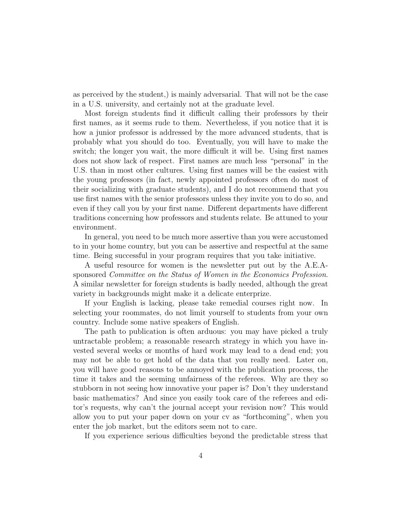as perceived by the student,) is mainly adversarial. That will not be the case in a U.S. university, and certainly not at the graduate level.

Most foreign students find it difficult calling their professors by their first names, as it seems rude to them. Nevertheless, if you notice that it is how a junior professor is addressed by the more advanced students, that is probably what you should do too. Eventually, you will have to make the switch; the longer you wait, the more difficult it will be. Using first names does not show lack of respect. First names are much less "personal" in the U.S. than in most other cultures. Using first names will be the easiest with the young professors (in fact, newly appointed professors often do most of their socializing with graduate students), and I do not recommend that you use first names with the senior professors unless they invite you to do so, and even if they call you by your first name. Different departments have different traditions concerning how professors and students relate. Be attuned to your environment.

In general, you need to be much more assertive than you were accustomed to in your home country, but you can be assertive and respectful at the same time. Being successful in your program requires that you take initiative.

A useful resource for women is the newsletter put out by the A.E.Asponsored Committee on the Status of Women in the Economics Profession. A similar newsletter for foreign students is badly needed, although the great variety in backgrounds might make it a delicate enterprize.

If your English is lacking, please take remedial courses right now. In selecting your roommates, do not limit yourself to students from your own country. Include some native speakers of English.

The path to publication is often arduous: you may have picked a truly untractable problem; a reasonable research strategy in which you have invested several weeks or months of hard work may lead to a dead end; you may not be able to get hold of the data that you really need. Later on, you will have good reasons to be annoyed with the publication process, the time it takes and the seeming unfairness of the referees. Why are they so stubborn in not seeing how innovative your paper is? Don't they understand basic mathematics? And since you easily took care of the referees and editor's requests, why can't the journal accept your revision now? This would allow you to put your paper down on your cv as "forthcoming", when you enter the job market, but the editors seem not to care.

If you experience serious difficulties beyond the predictable stress that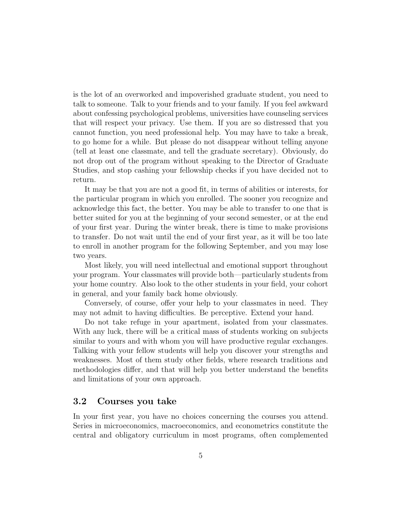is the lot of an overworked and impoverished graduate student, you need to talk to someone. Talk to your friends and to your family. If you feel awkward about confessing psychological problems, universities have counseling services that will respect your privacy. Use them. If you are so distressed that you cannot function, you need professional help. You may have to take a break, to go home for a while. But please do not disappear without telling anyone (tell at least one classmate, and tell the graduate secretary). Obviously, do not drop out of the program without speaking to the Director of Graduate Studies, and stop cashing your fellowship checks if you have decided not to return.

It may be that you are not a good fit, in terms of abilities or interests, for the particular program in which you enrolled. The sooner you recognize and acknowledge this fact, the better. You may be able to transfer to one that is better suited for you at the beginning of your second semester, or at the end of your first year. During the winter break, there is time to make provisions to transfer. Do not wait until the end of your first year, as it will be too late to enroll in another program for the following September, and you may lose two years.

Most likely, you will need intellectual and emotional support throughout your program. Your classmates will provide both—particularly students from your home country. Also look to the other students in your field, your cohort in general, and your family back home obviously.

Conversely, of course, offer your help to your classmates in need. They may not admit to having difficulties. Be perceptive. Extend your hand.

Do not take refuge in your apartment, isolated from your classmates. With any luck, there will be a critical mass of students working on subjects similar to yours and with whom you will have productive regular exchanges. Talking with your fellow students will help you discover your strengths and weaknesses. Most of them study other fields, where research traditions and methodologies differ, and that will help you better understand the benefits and limitations of your own approach.

### 3.2 Courses you take

In your first year, you have no choices concerning the courses you attend. Series in microeconomics, macroeconomics, and econometrics constitute the central and obligatory curriculum in most programs, often complemented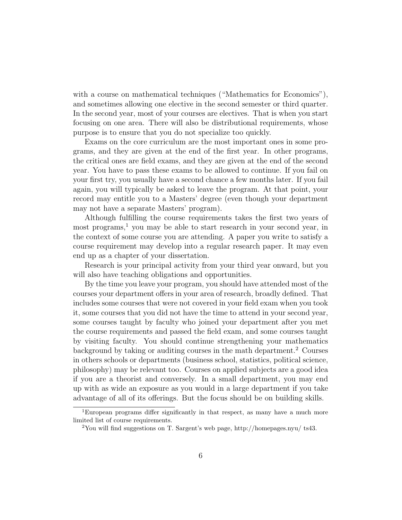with a course on mathematical techniques ("Mathematics for Economics"), and sometimes allowing one elective in the second semester or third quarter. In the second year, most of your courses are electives. That is when you start focusing on one area. There will also be distributional requirements, whose purpose is to ensure that you do not specialize too quickly.

Exams on the core curriculum are the most important ones in some programs, and they are given at the end of the first year. In other programs, the critical ones are field exams, and they are given at the end of the second year. You have to pass these exams to be allowed to continue. If you fail on your first try, you usually have a second chance a few months later. If you fail again, you will typically be asked to leave the program. At that point, your record may entitle you to a Masters' degree (even though your department may not have a separate Masters' program).

Although fulfilling the course requirements takes the first two years of most programs, $<sup>1</sup>$  you may be able to start research in your second year, in</sup> the context of some course you are attending. A paper you write to satisfy a course requirement may develop into a regular research paper. It may even end up as a chapter of your dissertation.

Research is your principal activity from your third year onward, but you will also have teaching obligations and opportunities.

By the time you leave your program, you should have attended most of the courses your department offers in your area of research, broadly defined. That includes some courses that were not covered in your field exam when you took it, some courses that you did not have the time to attend in your second year, some courses taught by faculty who joined your department after you met the course requirements and passed the field exam, and some courses taught by visiting faculty. You should continue strengthening your mathematics background by taking or auditing courses in the math department.<sup>2</sup> Courses in others schools or departments (business school, statistics, political science, philosophy) may be relevant too. Courses on applied subjects are a good idea if you are a theorist and conversely. In a small department, you may end up with as wide an exposure as you would in a large department if you take advantage of all of its offerings. But the focus should be on building skills.

<sup>1</sup>European programs differ significantly in that respect, as many have a much more limited list of course requirements.

<sup>&</sup>lt;sup>2</sup>You will find suggestions on T. Sargent's web page, http://homepages.nyu/ ts43.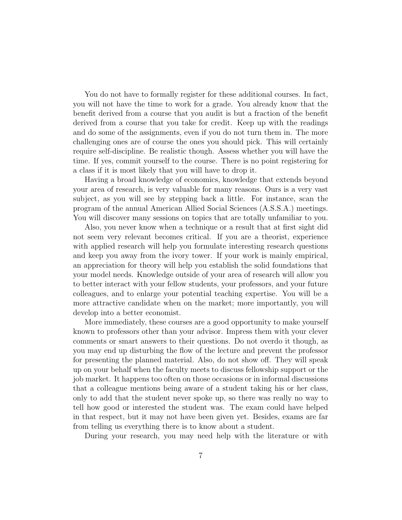You do not have to formally register for these additional courses. In fact, you will not have the time to work for a grade. You already know that the benefit derived from a course that you audit is but a fraction of the benefit derived from a course that you take for credit. Keep up with the readings and do some of the assignments, even if you do not turn them in. The more challenging ones are of course the ones you should pick. This will certainly require self-discipline. Be realistic though. Assess whether you will have the time. If yes, commit yourself to the course. There is no point registering for a class if it is most likely that you will have to drop it.

Having a broad knowledge of economics, knowledge that extends beyond your area of research, is very valuable for many reasons. Ours is a very vast subject, as you will see by stepping back a little. For instance, scan the program of the annual American Allied Social Sciences (A.S.S.A.) meetings. You will discover many sessions on topics that are totally unfamiliar to you.

Also, you never know when a technique or a result that at first sight did not seem very relevant becomes critical. If you are a theorist, experience with applied research will help you formulate interesting research questions and keep you away from the ivory tower. If your work is mainly empirical, an appreciation for theory will help you establish the solid foundations that your model needs. Knowledge outside of your area of research will allow you to better interact with your fellow students, your professors, and your future colleagues, and to enlarge your potential teaching expertise. You will be a more attractive candidate when on the market; more importantly, you will develop into a better economist.

More immediately, these courses are a good opportunity to make yourself known to professors other than your advisor. Impress them with your clever comments or smart answers to their questions. Do not overdo it though, as you may end up disturbing the flow of the lecture and prevent the professor for presenting the planned material. Also, do not show off. They will speak up on your behalf when the faculty meets to discuss fellowship support or the job market. It happens too often on those occasions or in informal discussions that a colleague mentions being aware of a student taking his or her class, only to add that the student never spoke up, so there was really no way to tell how good or interested the student was. The exam could have helped in that respect, but it may not have been given yet. Besides, exams are far from telling us everything there is to know about a student.

During your research, you may need help with the literature or with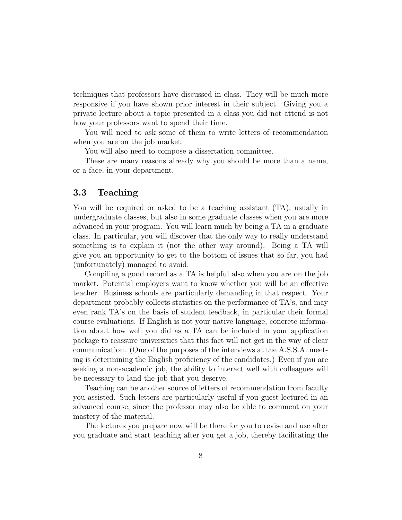techniques that professors have discussed in class. They will be much more responsive if you have shown prior interest in their subject. Giving you a private lecture about a topic presented in a class you did not attend is not how your professors want to spend their time.

You will need to ask some of them to write letters of recommendation when you are on the job market.

You will also need to compose a dissertation committee.

These are many reasons already why you should be more than a name, or a face, in your department.

### 3.3 Teaching

You will be required or asked to be a teaching assistant (TA), usually in undergraduate classes, but also in some graduate classes when you are more advanced in your program. You will learn much by being a TA in a graduate class. In particular, you will discover that the only way to really understand something is to explain it (not the other way around). Being a TA will give you an opportunity to get to the bottom of issues that so far, you had (unfortunately) managed to avoid.

Compiling a good record as a TA is helpful also when you are on the job market. Potential employers want to know whether you will be an effective teacher. Business schools are particularly demanding in that respect. Your department probably collects statistics on the performance of TA's, and may even rank TA's on the basis of student feedback, in particular their formal course evaluations. If English is not your native language, concrete information about how well you did as a TA can be included in your application package to reassure universities that this fact will not get in the way of clear communication. (One of the purposes of the interviews at the A.S.S.A. meeting is determining the English proficiency of the candidates.) Even if you are seeking a non-academic job, the ability to interact well with colleagues will be necessary to land the job that you deserve.

Teaching can be another source of letters of recommendation from faculty you assisted. Such letters are particularly useful if you guest-lectured in an advanced course, since the professor may also be able to comment on your mastery of the material.

The lectures you prepare now will be there for you to revise and use after you graduate and start teaching after you get a job, thereby facilitating the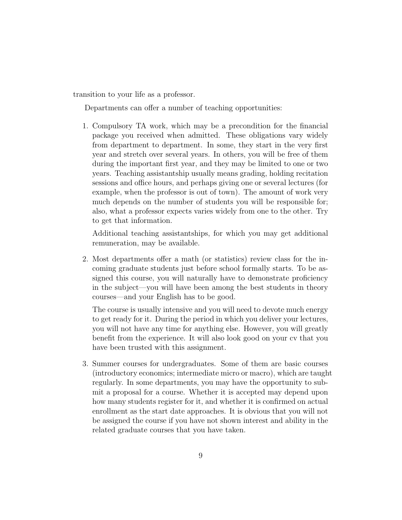transition to your life as a professor.

Departments can offer a number of teaching opportunities:

1. Compulsory TA work, which may be a precondition for the financial package you received when admitted. These obligations vary widely from department to department. In some, they start in the very first year and stretch over several years. In others, you will be free of them during the important first year, and they may be limited to one or two years. Teaching assistantship usually means grading, holding recitation sessions and office hours, and perhaps giving one or several lectures (for example, when the professor is out of town). The amount of work very much depends on the number of students you will be responsible for; also, what a professor expects varies widely from one to the other. Try to get that information.

Additional teaching assistantships, for which you may get additional remuneration, may be available.

2. Most departments offer a math (or statistics) review class for the incoming graduate students just before school formally starts. To be assigned this course, you will naturally have to demonstrate proficiency in the subject—you will have been among the best students in theory courses—and your English has to be good.

The course is usually intensive and you will need to devote much energy to get ready for it. During the period in which you deliver your lectures, you will not have any time for anything else. However, you will greatly benefit from the experience. It will also look good on your cv that you have been trusted with this assignment.

3. Summer courses for undergraduates. Some of them are basic courses (introductory economics; intermediate micro or macro), which are taught regularly. In some departments, you may have the opportunity to submit a proposal for a course. Whether it is accepted may depend upon how many students register for it, and whether it is confirmed on actual enrollment as the start date approaches. It is obvious that you will not be assigned the course if you have not shown interest and ability in the related graduate courses that you have taken.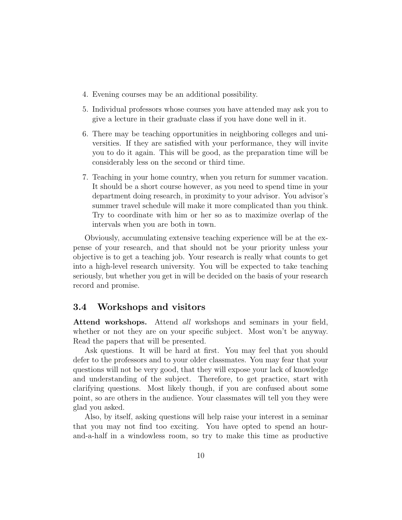- 4. Evening courses may be an additional possibility.
- 5. Individual professors whose courses you have attended may ask you to give a lecture in their graduate class if you have done well in it.
- 6. There may be teaching opportunities in neighboring colleges and universities. If they are satisfied with your performance, they will invite you to do it again. This will be good, as the preparation time will be considerably less on the second or third time.
- 7. Teaching in your home country, when you return for summer vacation. It should be a short course however, as you need to spend time in your department doing research, in proximity to your advisor. You advisor's summer travel schedule will make it more complicated than you think. Try to coordinate with him or her so as to maximize overlap of the intervals when you are both in town.

Obviously, accumulating extensive teaching experience will be at the expense of your research, and that should not be your priority unless your objective is to get a teaching job. Your research is really what counts to get into a high-level research university. You will be expected to take teaching seriously, but whether you get in will be decided on the basis of your research record and promise.

### 3.4 Workshops and visitors

Attend workshops. Attend all workshops and seminars in your field, whether or not they are on your specific subject. Most won't be anyway. Read the papers that will be presented.

Ask questions. It will be hard at first. You may feel that you should defer to the professors and to your older classmates. You may fear that your questions will not be very good, that they will expose your lack of knowledge and understanding of the subject. Therefore, to get practice, start with clarifying questions. Most likely though, if you are confused about some point, so are others in the audience. Your classmates will tell you they were glad you asked.

Also, by itself, asking questions will help raise your interest in a seminar that you may not find too exciting. You have opted to spend an hourand-a-half in a windowless room, so try to make this time as productive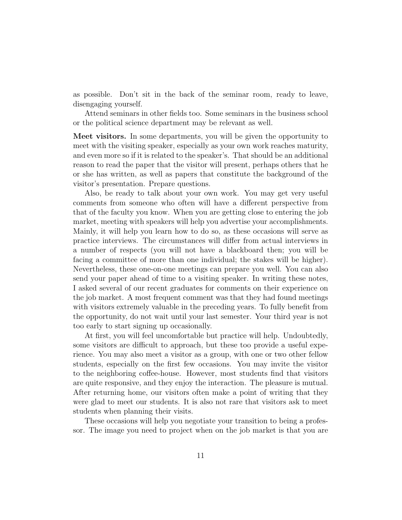as possible. Don't sit in the back of the seminar room, ready to leave, disengaging yourself.

Attend seminars in other fields too. Some seminars in the business school or the political science department may be relevant as well.

Meet visitors. In some departments, you will be given the opportunity to meet with the visiting speaker, especially as your own work reaches maturity, and even more so if it is related to the speaker's. That should be an additional reason to read the paper that the visitor will present, perhaps others that he or she has written, as well as papers that constitute the background of the visitor's presentation. Prepare questions.

Also, be ready to talk about your own work. You may get very useful comments from someone who often will have a different perspective from that of the faculty you know. When you are getting close to entering the job market, meeting with speakers will help you advertise your accomplishments. Mainly, it will help you learn how to do so, as these occasions will serve as practice interviews. The circumstances will differ from actual interviews in a number of respects (you will not have a blackboard then; you will be facing a committee of more than one individual; the stakes will be higher). Nevertheless, these one-on-one meetings can prepare you well. You can also send your paper ahead of time to a visiting speaker. In writing these notes, I asked several of our recent graduates for comments on their experience on the job market. A most frequent comment was that they had found meetings with visitors extremely valuable in the preceding years. To fully benefit from the opportunity, do not wait until your last semester. Your third year is not too early to start signing up occasionally.

At first, you will feel uncomfortable but practice will help. Undoubtedly, some visitors are difficult to approach, but these too provide a useful experience. You may also meet a visitor as a group, with one or two other fellow students, especially on the first few occasions. You may invite the visitor to the neighboring coffee-house. However, most students find that visitors are quite responsive, and they enjoy the interaction. The pleasure is mutual. After returning home, our visitors often make a point of writing that they were glad to meet our students. It is also not rare that visitors ask to meet students when planning their visits.

These occasions will help you negotiate your transition to being a professor. The image you need to project when on the job market is that you are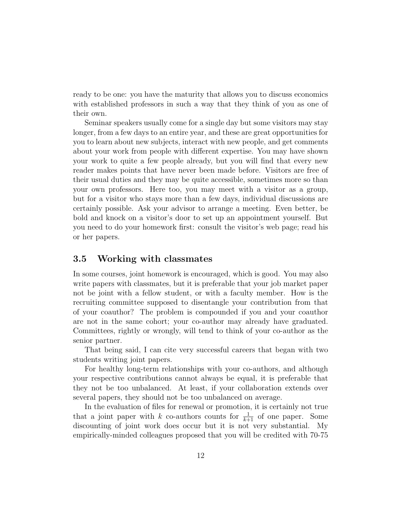ready to be one: you have the maturity that allows you to discuss economics with established professors in such a way that they think of you as one of their own.

Seminar speakers usually come for a single day but some visitors may stay longer, from a few days to an entire year, and these are great opportunities for you to learn about new subjects, interact with new people, and get comments about your work from people with different expertise. You may have shown your work to quite a few people already, but you will find that every new reader makes points that have never been made before. Visitors are free of their usual duties and they may be quite accessible, sometimes more so than your own professors. Here too, you may meet with a visitor as a group, but for a visitor who stays more than a few days, individual discussions are certainly possible. Ask your advisor to arrange a meeting. Even better, be bold and knock on a visitor's door to set up an appointment yourself. But you need to do your homework first: consult the visitor's web page; read his or her papers.

#### 3.5 Working with classmates

In some courses, joint homework is encouraged, which is good. You may also write papers with classmates, but it is preferable that your job market paper not be joint with a fellow student, or with a faculty member. How is the recruiting committee supposed to disentangle your contribution from that of your coauthor? The problem is compounded if you and your coauthor are not in the same cohort; your co-author may already have graduated. Committees, rightly or wrongly, will tend to think of your co-author as the senior partner.

That being said, I can cite very successful careers that began with two students writing joint papers.

For healthy long-term relationships with your co-authors, and although your respective contributions cannot always be equal, it is preferable that they not be too unbalanced. At least, if your collaboration extends over several papers, they should not be too unbalanced on average.

In the evaluation of files for renewal or promotion, it is certainly not true that a joint paper with k co-authors counts for  $\frac{1}{k+1}$  of one paper. Some discounting of joint work does occur but it is not very substantial. My empirically-minded colleagues proposed that you will be credited with 70-75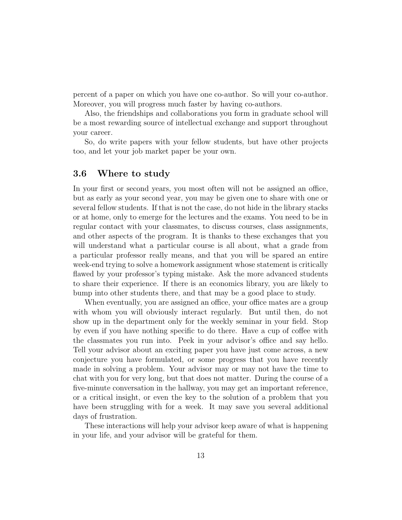percent of a paper on which you have one co-author. So will your co-author. Moreover, you will progress much faster by having co-authors.

Also, the friendships and collaborations you form in graduate school will be a most rewarding source of intellectual exchange and support throughout your career.

So, do write papers with your fellow students, but have other projects too, and let your job market paper be your own.

#### 3.6 Where to study

In your first or second years, you most often will not be assigned an office, but as early as your second year, you may be given one to share with one or several fellow students. If that is not the case, do not hide in the library stacks or at home, only to emerge for the lectures and the exams. You need to be in regular contact with your classmates, to discuss courses, class assignments, and other aspects of the program. It is thanks to these exchanges that you will understand what a particular course is all about, what a grade from a particular professor really means, and that you will be spared an entire week-end trying to solve a homework assignment whose statement is critically flawed by your professor's typing mistake. Ask the more advanced students to share their experience. If there is an economics library, you are likely to bump into other students there, and that may be a good place to study.

When eventually, you are assigned an office, your office mates are a group with whom you will obviously interact regularly. But until then, do not show up in the department only for the weekly seminar in your field. Stop by even if you have nothing specific to do there. Have a cup of coffee with the classmates you run into. Peek in your advisor's office and say hello. Tell your advisor about an exciting paper you have just come across, a new conjecture you have formulated, or some progress that you have recently made in solving a problem. Your advisor may or may not have the time to chat with you for very long, but that does not matter. During the course of a five-minute conversation in the hallway, you may get an important reference, or a critical insight, or even the key to the solution of a problem that you have been struggling with for a week. It may save you several additional days of frustration.

These interactions will help your advisor keep aware of what is happening in your life, and your advisor will be grateful for them.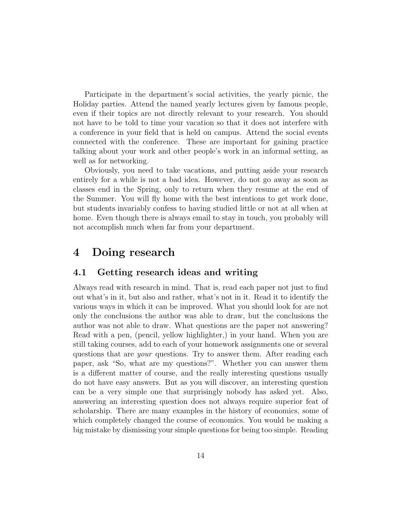Participate in the department's social activities, the yearly picnic, the Holiday parties. Attend the named yearly lectures given by famous people, even if their topics are not directly relevant to your research. You should not have to be told to time your vacation so that it does not interfere with a conference in your field that is held on campus. Attend the social events connected with the conference. These are important for gaining practice talking about your work and other people's work in an informal setting, as well as for networking.

Obviously, you need to take vacations, and putting aside your research entirely for a while is not a bad idea. However, do not go away as soon as classes end in the Spring, only to return when they resume at the end of the Summer. You will fly home with the best intentions to get work done, but students invariably confess to having studied little or not at all when at home. Even though there is always email to stay in touch, you probably will not accomplish much when far from your department.

### 4 Doing research

### 4.1 Getting research ideas and writing

Always read with research in mind. That is, read each paper not just to find out what's in it, but also and rather, what's not in it. Read it to identify the various ways in which it can be improved. What you should look for are not only the conclusions the author was able to draw, but the conclusions the author was not able to draw. What questions are the paper not answering? Read with a pen, (pencil, yellow highlighter,) in your hand. When you are still taking courses, add to each of your homework assignments one or several questions that are your questions. Try to answer them. After reading each paper, ask "So, what are my questions?". Whether you can answer them is a different matter of course, and the really interesting questions usually do not have easy answers. But as you will discover, an interesting question can be a very simple one that surprisingly nobody has asked yet. Also, answering an interesting question does not always require superior feat of scholarship. There are many examples in the history of economics, some of which completely changed the course of economics. You would be making a big mistake by dismissing your simple questions for being too simple. Reading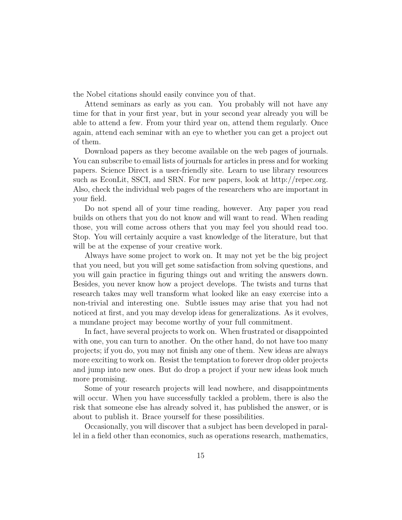the Nobel citations should easily convince you of that.

Attend seminars as early as you can. You probably will not have any time for that in your first year, but in your second year already you will be able to attend a few. From your third year on, attend them regularly. Once again, attend each seminar with an eye to whether you can get a project out of them.

Download papers as they become available on the web pages of journals. You can subscribe to email lists of journals for articles in press and for working papers. Science Direct is a user-friendly site. Learn to use library resources such as EconLit, SSCI, and SRN. For new papers, look at http://repec.org. Also, check the individual web pages of the researchers who are important in your field.

Do not spend all of your time reading, however. Any paper you read builds on others that you do not know and will want to read. When reading those, you will come across others that you may feel you should read too. Stop. You will certainly acquire a vast knowledge of the literature, but that will be at the expense of your creative work.

Always have some project to work on. It may not yet be the big project that you need, but you will get some satisfaction from solving questions, and you will gain practice in figuring things out and writing the answers down. Besides, you never know how a project develops. The twists and turns that research takes may well transform what looked like an easy exercise into a non-trivial and interesting one. Subtle issues may arise that you had not noticed at first, and you may develop ideas for generalizations. As it evolves, a mundane project may become worthy of your full commitment.

In fact, have several projects to work on. When frustrated or disappointed with one, you can turn to another. On the other hand, do not have too many projects; if you do, you may not finish any one of them. New ideas are always more exciting to work on. Resist the temptation to forever drop older projects and jump into new ones. But do drop a project if your new ideas look much more promising.

Some of your research projects will lead nowhere, and disappointments will occur. When you have successfully tackled a problem, there is also the risk that someone else has already solved it, has published the answer, or is about to publish it. Brace yourself for these possibilities.

Occasionally, you will discover that a subject has been developed in parallel in a field other than economics, such as operations research, mathematics,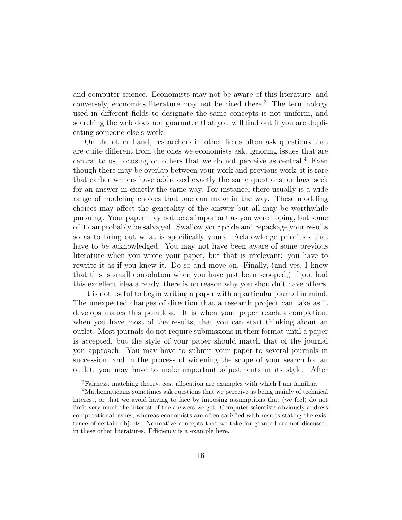and computer science. Economists may not be aware of this literature, and conversely, economics literature may not be cited there.<sup>3</sup> The terminology used in different fields to designate the same concepts is not uniform, and searching the web does not guarantee that you will find out if you are duplicating someone else's work.

On the other hand, researchers in other fields often ask questions that are quite different from the ones we economists ask, ignoring issues that are central to us, focusing on others that we do not perceive as central.<sup>4</sup> Even though there may be overlap between your work and previous work, it is rare that earlier writers have addressed exactly the same questions, or have seek for an answer in exactly the same way. For instance, there usually is a wide range of modeling choices that one can make in the way. These modeling choices may affect the generality of the answer but all may be worthwhile pursuing. Your paper may not be as important as you were hoping, but some of it can probably be salvaged. Swallow your pride and repackage your results so as to bring out what is specifically yours. Acknowledge priorities that have to be acknowledged. You may not have been aware of some previous literature when you wrote your paper, but that is irrelevant: you have to rewrite it as if you knew it. Do so and move on. Finally, (and yes, I know that this is small consolation when you have just been scooped,) if you had this excellent idea already, there is no reason why you shouldn't have others.

It is not useful to begin writing a paper with a particular journal in mind. The unexpected changes of direction that a research project can take as it develops makes this pointless. It is when your paper reaches completion, when you have most of the results, that you can start thinking about an outlet. Most journals do not require submissions in their format until a paper is accepted, but the style of your paper should match that of the journal you approach. You may have to submit your paper to several journals in succession, and in the process of widening the scope of your search for an outlet, you may have to make important adjustments in its style. After

<sup>3</sup>Fairness, matching theory, cost allocation are examples with which I am familiar.

<sup>4</sup>Mathematicians sometimes ask questions that we perceive as being mainly of technical interest, or that we avoid having to face by imposing assumptions that (we feel) do not limit very much the interest of the answers we get. Computer scientists obviously address computational issues, whereas economists are often satisfied with results stating the existence of certain objects. Normative concepts that we take for granted are not discussed in these other literatures. Efficiency is a example here.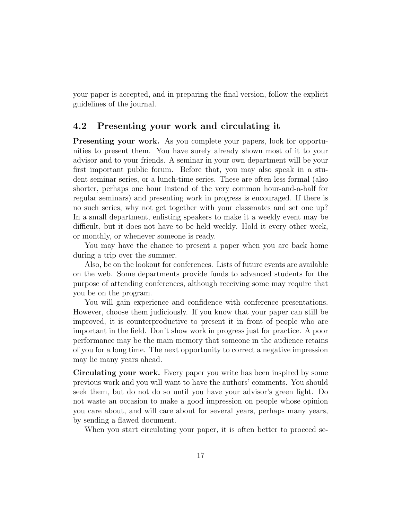your paper is accepted, and in preparing the final version, follow the explicit guidelines of the journal.

### 4.2 Presenting your work and circulating it

Presenting your work. As you complete your papers, look for opportunities to present them. You have surely already shown most of it to your advisor and to your friends. A seminar in your own department will be your first important public forum. Before that, you may also speak in a student seminar series, or a lunch-time series. These are often less formal (also shorter, perhaps one hour instead of the very common hour-and-a-half for regular seminars) and presenting work in progress is encouraged. If there is no such series, why not get together with your classmates and set one up? In a small department, enlisting speakers to make it a weekly event may be difficult, but it does not have to be held weekly. Hold it every other week, or monthly, or whenever someone is ready.

You may have the chance to present a paper when you are back home during a trip over the summer.

Also, be on the lookout for conferences. Lists of future events are available on the web. Some departments provide funds to advanced students for the purpose of attending conferences, although receiving some may require that you be on the program.

You will gain experience and confidence with conference presentations. However, choose them judiciously. If you know that your paper can still be improved, it is counterproductive to present it in front of people who are important in the field. Don't show work in progress just for practice. A poor performance may be the main memory that someone in the audience retains of you for a long time. The next opportunity to correct a negative impression may lie many years ahead.

Circulating your work. Every paper you write has been inspired by some previous work and you will want to have the authors' comments. You should seek them, but do not do so until you have your advisor's green light. Do not waste an occasion to make a good impression on people whose opinion you care about, and will care about for several years, perhaps many years, by sending a flawed document.

When you start circulating your paper, it is often better to proceed se-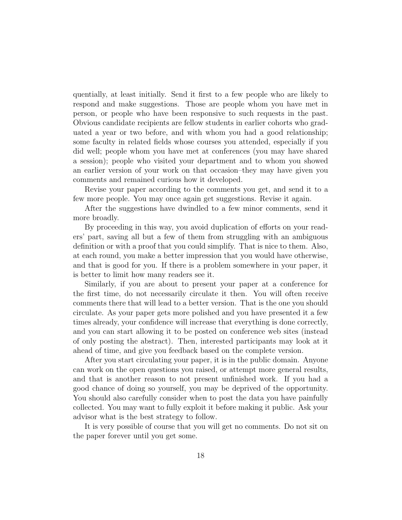quentially, at least initially. Send it first to a few people who are likely to respond and make suggestions. Those are people whom you have met in person, or people who have been responsive to such requests in the past. Obvious candidate recipients are fellow students in earlier cohorts who graduated a year or two before, and with whom you had a good relationship; some faculty in related fields whose courses you attended, especially if you did well; people whom you have met at conferences (you may have shared a session); people who visited your department and to whom you showed an earlier version of your work on that occasion–they may have given you comments and remained curious how it developed.

Revise your paper according to the comments you get, and send it to a few more people. You may once again get suggestions. Revise it again.

After the suggestions have dwindled to a few minor comments, send it more broadly.

By proceeding in this way, you avoid duplication of efforts on your readers' part, saving all but a few of them from struggling with an ambiguous definition or with a proof that you could simplify. That is nice to them. Also, at each round, you make a better impression that you would have otherwise, and that is good for you. If there is a problem somewhere in your paper, it is better to limit how many readers see it.

Similarly, if you are about to present your paper at a conference for the first time, do not necessarily circulate it then. You will often receive comments there that will lead to a better version. That is the one you should circulate. As your paper gets more polished and you have presented it a few times already, your confidence will increase that everything is done correctly, and you can start allowing it to be posted on conference web sites (instead of only posting the abstract). Then, interested participants may look at it ahead of time, and give you feedback based on the complete version.

After you start circulating your paper, it is in the public domain. Anyone can work on the open questions you raised, or attempt more general results, and that is another reason to not present unfinished work. If you had a good chance of doing so yourself, you may be deprived of the opportunity. You should also carefully consider when to post the data you have painfully collected. You may want to fully exploit it before making it public. Ask your advisor what is the best strategy to follow.

It is very possible of course that you will get no comments. Do not sit on the paper forever until you get some.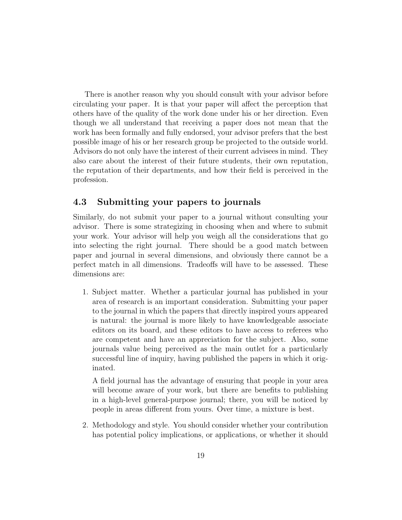There is another reason why you should consult with your advisor before circulating your paper. It is that your paper will affect the perception that others have of the quality of the work done under his or her direction. Even though we all understand that receiving a paper does not mean that the work has been formally and fully endorsed, your advisor prefers that the best possible image of his or her research group be projected to the outside world. Advisors do not only have the interest of their current advisees in mind. They also care about the interest of their future students, their own reputation, the reputation of their departments, and how their field is perceived in the profession.

## 4.3 Submitting your papers to journals

Similarly, do not submit your paper to a journal without consulting your advisor. There is some strategizing in choosing when and where to submit your work. Your advisor will help you weigh all the considerations that go into selecting the right journal. There should be a good match between paper and journal in several dimensions, and obviously there cannot be a perfect match in all dimensions. Tradeoffs will have to be assessed. These dimensions are:

1. Subject matter. Whether a particular journal has published in your area of research is an important consideration. Submitting your paper to the journal in which the papers that directly inspired yours appeared is natural: the journal is more likely to have knowledgeable associate editors on its board, and these editors to have access to referees who are competent and have an appreciation for the subject. Also, some journals value being perceived as the main outlet for a particularly successful line of inquiry, having published the papers in which it originated.

A field journal has the advantage of ensuring that people in your area will become aware of your work, but there are benefits to publishing in a high-level general-purpose journal; there, you will be noticed by people in areas different from yours. Over time, a mixture is best.

2. Methodology and style. You should consider whether your contribution has potential policy implications, or applications, or whether it should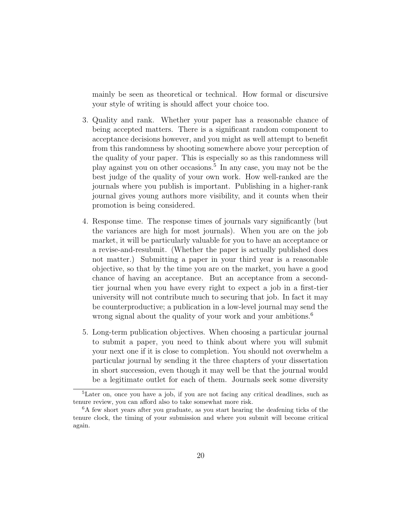mainly be seen as theoretical or technical. How formal or discursive your style of writing is should affect your choice too.

- 3. Quality and rank. Whether your paper has a reasonable chance of being accepted matters. There is a significant random component to acceptance decisions however, and you might as well attempt to benefit from this randomness by shooting somewhere above your perception of the quality of your paper. This is especially so as this randomness will play against you on other occasions.<sup>5</sup> In any case, you may not be the best judge of the quality of your own work. How well-ranked are the journals where you publish is important. Publishing in a higher-rank journal gives young authors more visibility, and it counts when their promotion is being considered.
- 4. Response time. The response times of journals vary significantly (but the variances are high for most journals). When you are on the job market, it will be particularly valuable for you to have an acceptance or a revise-and-resubmit. (Whether the paper is actually published does not matter.) Submitting a paper in your third year is a reasonable objective, so that by the time you are on the market, you have a good chance of having an acceptance. But an acceptance from a secondtier journal when you have every right to expect a job in a first-tier university will not contribute much to securing that job. In fact it may be counterproductive; a publication in a low-level journal may send the wrong signal about the quality of your work and your ambitions.<sup>6</sup>
- 5. Long-term publication objectives. When choosing a particular journal to submit a paper, you need to think about where you will submit your next one if it is close to completion. You should not overwhelm a particular journal by sending it the three chapters of your dissertation in short succession, even though it may well be that the journal would be a legitimate outlet for each of them. Journals seek some diversity

<sup>5</sup>Later on, once you have a job, if you are not facing any critical deadlines, such as tenure review, you can afford also to take somewhat more risk.

<sup>6</sup>A few short years after you graduate, as you start hearing the deafening ticks of the tenure clock, the timing of your submission and where you submit will become critical again.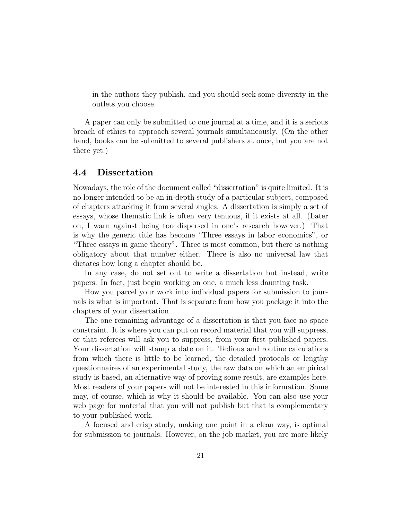in the authors they publish, and you should seek some diversity in the outlets you choose.

A paper can only be submitted to one journal at a time, and it is a serious breach of ethics to approach several journals simultaneously. (On the other hand, books can be submitted to several publishers at once, but you are not there yet.)

### 4.4 Dissertation

Nowadays, the role of the document called "dissertation" is quite limited. It is no longer intended to be an in-depth study of a particular subject, composed of chapters attacking it from several angles. A dissertation is simply a set of essays, whose thematic link is often very tenuous, if it exists at all. (Later on, I warn against being too dispersed in one's research however.) That is why the generic title has become "Three essays in labor economics", or "Three essays in game theory". Three is most common, but there is nothing obligatory about that number either. There is also no universal law that dictates how long a chapter should be.

In any case, do not set out to write a dissertation but instead, write papers. In fact, just begin working on one, a much less daunting task.

How you parcel your work into individual papers for submission to journals is what is important. That is separate from how you package it into the chapters of your dissertation.

The one remaining advantage of a dissertation is that you face no space constraint. It is where you can put on record material that you will suppress, or that referees will ask you to suppress, from your first published papers. Your dissertation will stamp a date on it. Tedious and routine calculations from which there is little to be learned, the detailed protocols or lengthy questionnaires of an experimental study, the raw data on which an empirical study is based, an alternative way of proving some result, are examples here. Most readers of your papers will not be interested in this information. Some may, of course, which is why it should be available. You can also use your web page for material that you will not publish but that is complementary to your published work.

A focused and crisp study, making one point in a clean way, is optimal for submission to journals. However, on the job market, you are more likely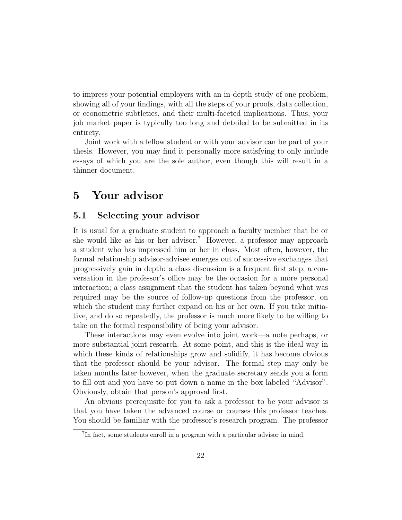to impress your potential employers with an in-depth study of one problem, showing all of your findings, with all the steps of your proofs, data collection, or econometric subtleties, and their multi-faceted implications. Thus, your job market paper is typically too long and detailed to be submitted in its entirety.

Joint work with a fellow student or with your advisor can be part of your thesis. However, you may find it personally more satisfying to only include essays of which you are the sole author, even though this will result in a thinner document.

# 5 Your advisor

### 5.1 Selecting your advisor

It is usual for a graduate student to approach a faculty member that he or she would like as his or her advisor.<sup>7</sup> However, a professor may approach a student who has impressed him or her in class. Most often, however, the formal relationship advisor-advisee emerges out of successive exchanges that progressively gain in depth: a class discussion is a frequent first step; a conversation in the professor's office may be the occasion for a more personal interaction; a class assignment that the student has taken beyond what was required may be the source of follow-up questions from the professor, on which the student may further expand on his or her own. If you take initiative, and do so repeatedly, the professor is much more likely to be willing to take on the formal responsibility of being your advisor.

These interactions may even evolve into joint work—a note perhaps, or more substantial joint research. At some point, and this is the ideal way in which these kinds of relationships grow and solidify, it has become obvious that the professor should be your advisor. The formal step may only be taken months later however, when the graduate secretary sends you a form to fill out and you have to put down a name in the box labeled "Advisor". Obviously, obtain that person's approval first.

An obvious prerequisite for you to ask a professor to be your advisor is that you have taken the advanced course or courses this professor teaches. You should be familiar with the professor's research program. The professor

<sup>&</sup>lt;sup>7</sup>In fact, some students enroll in a program with a particular advisor in mind.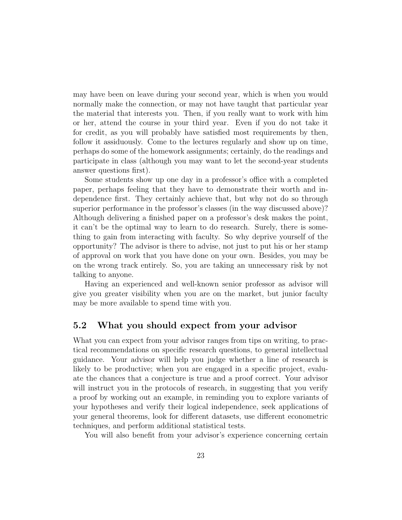may have been on leave during your second year, which is when you would normally make the connection, or may not have taught that particular year the material that interests you. Then, if you really want to work with him or her, attend the course in your third year. Even if you do not take it for credit, as you will probably have satisfied most requirements by then, follow it assiduously. Come to the lectures regularly and show up on time, perhaps do some of the homework assignments; certainly, do the readings and participate in class (although you may want to let the second-year students answer questions first).

Some students show up one day in a professor's office with a completed paper, perhaps feeling that they have to demonstrate their worth and independence first. They certainly achieve that, but why not do so through superior performance in the professor's classes (in the way discussed above)? Although delivering a finished paper on a professor's desk makes the point, it can't be the optimal way to learn to do research. Surely, there is something to gain from interacting with faculty. So why deprive yourself of the opportunity? The advisor is there to advise, not just to put his or her stamp of approval on work that you have done on your own. Besides, you may be on the wrong track entirely. So, you are taking an unnecessary risk by not talking to anyone.

Having an experienced and well-known senior professor as advisor will give you greater visibility when you are on the market, but junior faculty may be more available to spend time with you.

### 5.2 What you should expect from your advisor

What you can expect from your advisor ranges from tips on writing, to practical recommendations on specific research questions, to general intellectual guidance. Your advisor will help you judge whether a line of research is likely to be productive; when you are engaged in a specific project, evaluate the chances that a conjecture is true and a proof correct. Your advisor will instruct you in the protocols of research, in suggesting that you verify a proof by working out an example, in reminding you to explore variants of your hypotheses and verify their logical independence, seek applications of your general theorems, look for different datasets, use different econometric techniques, and perform additional statistical tests.

You will also benefit from your advisor's experience concerning certain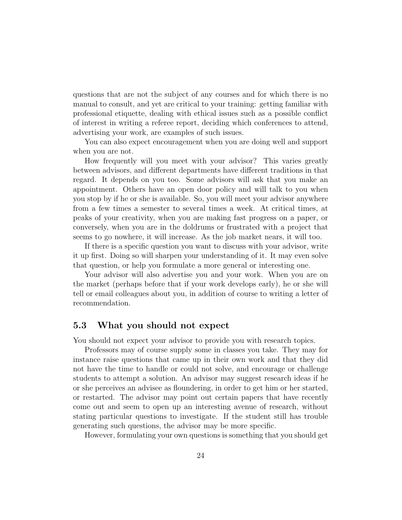questions that are not the subject of any courses and for which there is no manual to consult, and yet are critical to your training: getting familiar with professional etiquette, dealing with ethical issues such as a possible conflict of interest in writing a referee report, deciding which conferences to attend, advertising your work, are examples of such issues.

You can also expect encouragement when you are doing well and support when you are not.

How frequently will you meet with your advisor? This varies greatly between advisors, and different departments have different traditions in that regard. It depends on you too. Some advisors will ask that you make an appointment. Others have an open door policy and will talk to you when you stop by if he or she is available. So, you will meet your advisor anywhere from a few times a semester to several times a week. At critical times, at peaks of your creativity, when you are making fast progress on a paper, or conversely, when you are in the doldrums or frustrated with a project that seems to go nowhere, it will increase. As the job market nears, it will too.

If there is a specific question you want to discuss with your advisor, write it up first. Doing so will sharpen your understanding of it. It may even solve that question, or help you formulate a more general or interesting one.

Your advisor will also advertise you and your work. When you are on the market (perhaps before that if your work develops early), he or she will tell or email colleagues about you, in addition of course to writing a letter of recommendation.

### 5.3 What you should not expect

You should not expect your advisor to provide you with research topics.

Professors may of course supply some in classes you take. They may for instance raise questions that came up in their own work and that they did not have the time to handle or could not solve, and encourage or challenge students to attempt a solution. An advisor may suggest research ideas if he or she perceives an advisee as floundering, in order to get him or her started, or restarted. The advisor may point out certain papers that have recently come out and seem to open up an interesting avenue of research, without stating particular questions to investigate. If the student still has trouble generating such questions, the advisor may be more specific.

However, formulating your own questions is something that you should get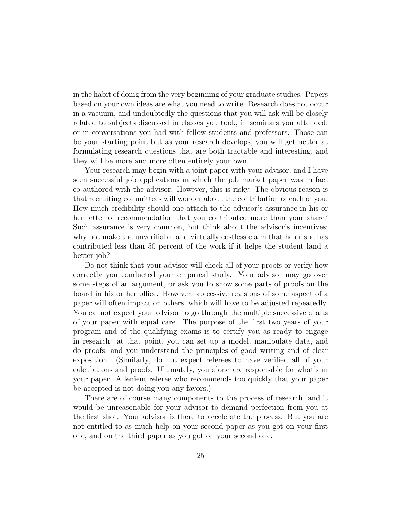in the habit of doing from the very beginning of your graduate studies. Papers based on your own ideas are what you need to write. Research does not occur in a vacuum, and undoubtedly the questions that you will ask will be closely related to subjects discussed in classes you took, in seminars you attended, or in conversations you had with fellow students and professors. Those can be your starting point but as your research develops, you will get better at formulating research questions that are both tractable and interesting, and they will be more and more often entirely your own.

Your research may begin with a joint paper with your advisor, and I have seen successful job applications in which the job market paper was in fact co-authored with the advisor. However, this is risky. The obvious reason is that recruiting committees will wonder about the contribution of each of you. How much credibility should one attach to the advisor's assurance in his or her letter of recommendation that you contributed more than your share? Such assurance is very common, but think about the advisor's incentives; why not make the unverifiable and virtually costless claim that he or she has contributed less than 50 percent of the work if it helps the student land a better job?

Do not think that your advisor will check all of your proofs or verify how correctly you conducted your empirical study. Your advisor may go over some steps of an argument, or ask you to show some parts of proofs on the board in his or her office. However, successive revisions of some aspect of a paper will often impact on others, which will have to be adjusted repeatedly. You cannot expect your advisor to go through the multiple successive drafts of your paper with equal care. The purpose of the first two years of your program and of the qualifying exams is to certify you as ready to engage in research: at that point, you can set up a model, manipulate data, and do proofs, and you understand the principles of good writing and of clear exposition. (Similarly, do not expect referees to have verified all of your calculations and proofs. Ultimately, you alone are responsible for what's in your paper. A lenient referee who recommends too quickly that your paper be accepted is not doing you any favors.)

There are of course many components to the process of research, and it would be unreasonable for your advisor to demand perfection from you at the first shot. Your advisor is there to accelerate the process. But you are not entitled to as much help on your second paper as you got on your first one, and on the third paper as you got on your second one.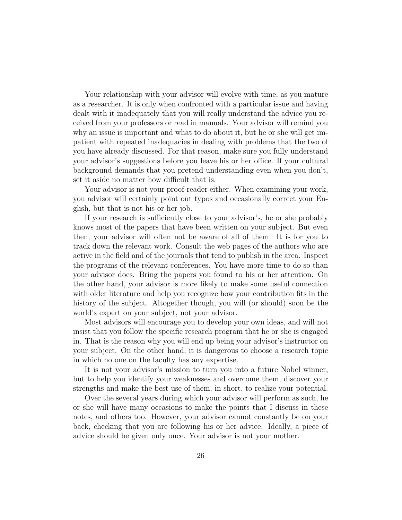Your relationship with your advisor will evolve with time, as you mature as a researcher. It is only when confronted with a particular issue and having dealt with it inadequately that you will really understand the advice you received from your professors or read in manuals. Your advisor will remind you why an issue is important and what to do about it, but he or she will get impatient with repeated inadequacies in dealing with problems that the two of you have already discussed. For that reason, make sure you fully understand your advisor's suggestions before you leave his or her office. If your cultural background demands that you pretend understanding even when you don't, set it aside no matter how difficult that is.

Your advisor is not your proof-reader either. When examining your work, you advisor will certainly point out typos and occasionally correct your English, but that is not his or her job.

If your research is sufficiently close to your advisor's, he or she probably knows most of the papers that have been written on your subject. But even then, your advisor will often not be aware of all of them. It is for you to track down the relevant work. Consult the web pages of the authors who are active in the field and of the journals that tend to publish in the area. Inspect the programs of the relevant conferences. You have more time to do so than your advisor does. Bring the papers you found to his or her attention. On the other hand, your advisor is more likely to make some useful connection with older literature and help you recognize how your contribution fits in the history of the subject. Altogether though, you will (or should) soon be the world's expert on your subject, not your advisor.

Most advisors will encourage you to develop your own ideas, and will not insist that you follow the specific research program that he or she is engaged in. That is the reason why you will end up being your advisor's instructor on your subject. On the other hand, it is dangerous to choose a research topic in which no one on the faculty has any expertise.

It is not your advisor's mission to turn you into a future Nobel winner, but to help you identify your weaknesses and overcome them, discover your strengths and make the best use of them, in short, to realize your potential.

Over the several years during which your advisor will perform as such, he or she will have many occasions to make the points that I discuss in these notes, and others too. However, your advisor cannot constantly be on your back, checking that you are following his or her advice. Ideally, a piece of advice should be given only once. Your advisor is not your mother.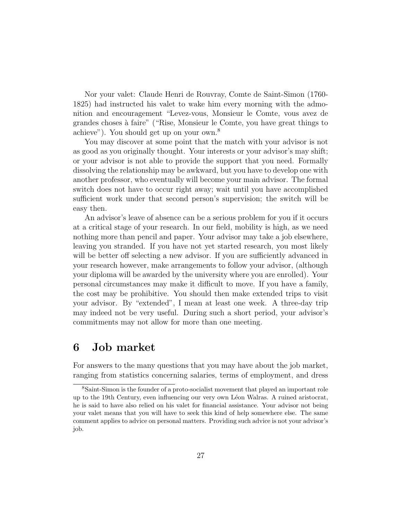Nor your valet: Claude Henri de Rouvray, Comte de Saint-Simon (1760- 1825) had instructed his valet to wake him every morning with the admonition and encouragement "Levez-vous, Monsieur le Comte, vous avez de grandes choses `a faire" ("Rise, Monsieur le Comte, you have great things to achieve"). You should get up on your own.<sup>8</sup>

You may discover at some point that the match with your advisor is not as good as you originally thought. Your interests or your advisor's may shift; or your advisor is not able to provide the support that you need. Formally dissolving the relationship may be awkward, but you have to develop one with another professor, who eventually will become your main advisor. The formal switch does not have to occur right away; wait until you have accomplished sufficient work under that second person's supervision; the switch will be easy then.

An advisor's leave of absence can be a serious problem for you if it occurs at a critical stage of your research. In our field, mobility is high, as we need nothing more than pencil and paper. Your advisor may take a job elsewhere, leaving you stranded. If you have not yet started research, you most likely will be better off selecting a new advisor. If you are sufficiently advanced in your research however, make arrangements to follow your advisor, (although your diploma will be awarded by the university where you are enrolled). Your personal circumstances may make it difficult to move. If you have a family, the cost may be prohibitive. You should then make extended trips to visit your advisor. By "extended", I mean at least one week. A three-day trip may indeed not be very useful. During such a short period, your advisor's commitments may not allow for more than one meeting.

## 6 Job market

For answers to the many questions that you may have about the job market, ranging from statistics concerning salaries, terms of employment, and dress

<sup>8</sup>Saint-Simon is the founder of a proto-socialist movement that played an important role up to the 19th Century, even influencing our very own L´eon Walras. A ruined aristocrat, he is said to have also relied on his valet for financial assistance. Your advisor not being your valet means that you will have to seek this kind of help somewhere else. The same comment applies to advice on personal matters. Providing such advice is not your advisor's job.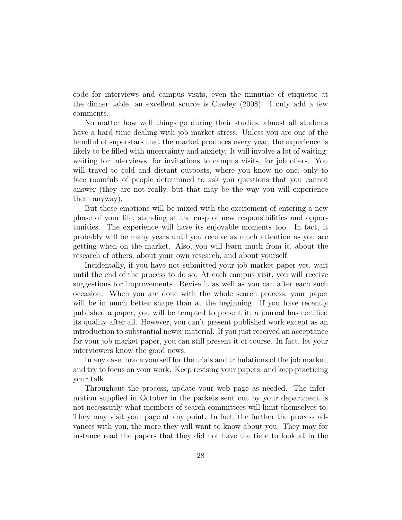code for interviews and campus visits, even the minutiae of etiquette at the dinner table, an excellent source is Cawley (2008). I only add a few comments.

No matter how well things go during their studies, almost all students have a hard time dealing with job market stress. Unless you are one of the handful of superstars that the market produces every year, the experience is likely to be filled with uncertainty and anxiety. It will involve a lot of waiting: waiting for interviews, for invitations to campus visits, for job offers. You will travel to cold and distant outposts, where you know no one, only to face roomfuls of people determined to ask you questions that you cannot answer (they are not really, but that may be the way you will experience them anyway).

But these emotions will be mixed with the excitement of entering a new phase of your life, standing at the cusp of new responsibilities and opportunities. The experience will have its enjoyable moments too. In fact, it probably will be many years until you receive as much attention as you are getting when on the market. Also, you will learn much from it, about the research of others, about your own research, and about yourself.

Incidentally, if you have not submitted your job market paper yet, wait until the end of the process to do so. At each campus visit, you will receive suggestions for improvements. Revise it as well as you can after each such occasion. When you are done with the whole search process, your paper will be in much better shape than at the beginning. If you have recently published a paper, you will be tempted to present it; a journal has certified its quality after all. However, you can't present published work except as an introduction to substantial newer material. If you just received an acceptance for your job market paper, you can still present it of course. In fact, let your interviewers know the good news.

In any case, brace yourself for the trials and tribulations of the job market, and try to focus on your work. Keep revising your papers, and keep practicing your talk.

Throughout the process, update your web page as needed. The information supplied in October in the packets sent out by your department is not necessarily what members of search committees will limit themselves to. They may visit your page at any point. In fact, the further the process advances with you, the more they will want to know about you. They may for instance read the papers that they did not have the time to look at in the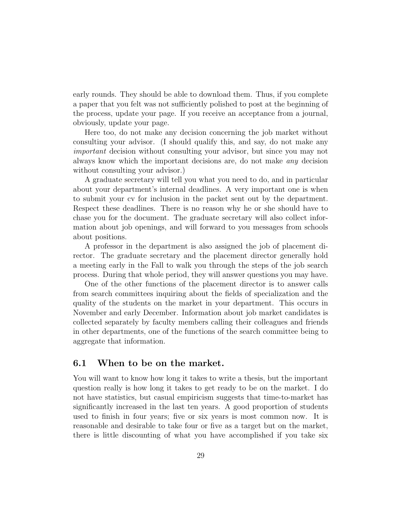early rounds. They should be able to download them. Thus, if you complete a paper that you felt was not sufficiently polished to post at the beginning of the process, update your page. If you receive an acceptance from a journal, obviously, update your page.

Here too, do not make any decision concerning the job market without consulting your advisor. (I should qualify this, and say, do not make any important decision without consulting your advisor, but since you may not always know which the important decisions are, do not make any decision without consulting your advisor.)

A graduate secretary will tell you what you need to do, and in particular about your department's internal deadlines. A very important one is when to submit your cv for inclusion in the packet sent out by the department. Respect these deadlines. There is no reason why he or she should have to chase you for the document. The graduate secretary will also collect information about job openings, and will forward to you messages from schools about positions.

A professor in the department is also assigned the job of placement director. The graduate secretary and the placement director generally hold a meeting early in the Fall to walk you through the steps of the job search process. During that whole period, they will answer questions you may have.

One of the other functions of the placement director is to answer calls from search committees inquiring about the fields of specialization and the quality of the students on the market in your department. This occurs in November and early December. Information about job market candidates is collected separately by faculty members calling their colleagues and friends in other departments, one of the functions of the search committee being to aggregate that information.

### 6.1 When to be on the market.

You will want to know how long it takes to write a thesis, but the important question really is how long it takes to get ready to be on the market. I do not have statistics, but casual empiricism suggests that time-to-market has significantly increased in the last ten years. A good proportion of students used to finish in four years; five or six years is most common now. It is reasonable and desirable to take four or five as a target but on the market, there is little discounting of what you have accomplished if you take six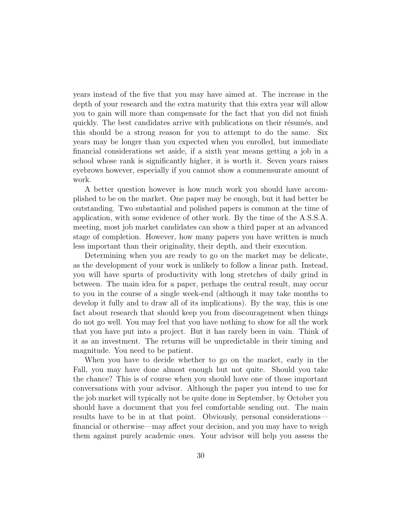years instead of the five that you may have aimed at. The increase in the depth of your research and the extra maturity that this extra year will allow you to gain will more than compensate for the fact that you did not finish quickly. The best candidates arrive with publications on their résumés, and this should be a strong reason for you to attempt to do the same. Six years may be longer than you expected when you enrolled, but immediate financial considerations set aside, if a sixth year means getting a job in a school whose rank is significantly higher, it is worth it. Seven years raises eyebrows however, especially if you cannot show a commensurate amount of work.

A better question however is how much work you should have accomplished to be on the market. One paper may be enough, but it had better be outstanding. Two substantial and polished papers is common at the time of application, with some evidence of other work. By the time of the A.S.S.A. meeting, most job market candidates can show a third paper at an advanced stage of completion. However, how many papers you have written is much less important than their originality, their depth, and their execution.

Determining when you are ready to go on the market may be delicate, as the development of your work is unlikely to follow a linear path. Instead, you will have spurts of productivity with long stretches of daily grind in between. The main idea for a paper, perhaps the central result, may occur to you in the course of a single week-end (although it may take months to develop it fully and to draw all of its implications). By the way, this is one fact about research that should keep you from discouragement when things do not go well. You may feel that you have nothing to show for all the work that you have put into a project. But it has rarely been in vain. Think of it as an investment. The returns will be unpredictable in their timing and magnitude. You need to be patient.

When you have to decide whether to go on the market, early in the Fall, you may have done almost enough but not quite. Should you take the chance? This is of course when you should have one of those important conversations with your advisor. Although the paper you intend to use for the job market will typically not be quite done in September, by October you should have a document that you feel comfortable sending out. The main results have to be in at that point. Obviously, personal considerations financial or otherwise—may affect your decision, and you may have to weigh them against purely academic ones. Your advisor will help you assess the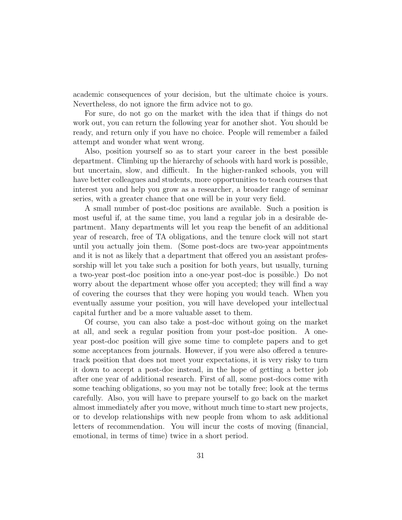academic consequences of your decision, but the ultimate choice is yours. Nevertheless, do not ignore the firm advice not to go.

For sure, do not go on the market with the idea that if things do not work out, you can return the following year for another shot. You should be ready, and return only if you have no choice. People will remember a failed attempt and wonder what went wrong.

Also, position yourself so as to start your career in the best possible department. Climbing up the hierarchy of schools with hard work is possible, but uncertain, slow, and difficult. In the higher-ranked schools, you will have better colleagues and students, more opportunities to teach courses that interest you and help you grow as a researcher, a broader range of seminar series, with a greater chance that one will be in your very field.

A small number of post-doc positions are available. Such a position is most useful if, at the same time, you land a regular job in a desirable department. Many departments will let you reap the benefit of an additional year of research, free of TA obligations, and the tenure clock will not start until you actually join them. (Some post-docs are two-year appointments and it is not as likely that a department that offered you an assistant professorship will let you take such a position for both years, but usually, turning a two-year post-doc position into a one-year post-doc is possible.) Do not worry about the department whose offer you accepted; they will find a way of covering the courses that they were hoping you would teach. When you eventually assume your position, you will have developed your intellectual capital further and be a more valuable asset to them.

Of course, you can also take a post-doc without going on the market at all, and seek a regular position from your post-doc position. A oneyear post-doc position will give some time to complete papers and to get some acceptances from journals. However, if you were also offered a tenuretrack position that does not meet your expectations, it is very risky to turn it down to accept a post-doc instead, in the hope of getting a better job after one year of additional research. First of all, some post-docs come with some teaching obligations, so you may not be totally free; look at the terms carefully. Also, you will have to prepare yourself to go back on the market almost immediately after you move, without much time to start new projects, or to develop relationships with new people from whom to ask additional letters of recommendation. You will incur the costs of moving (financial, emotional, in terms of time) twice in a short period.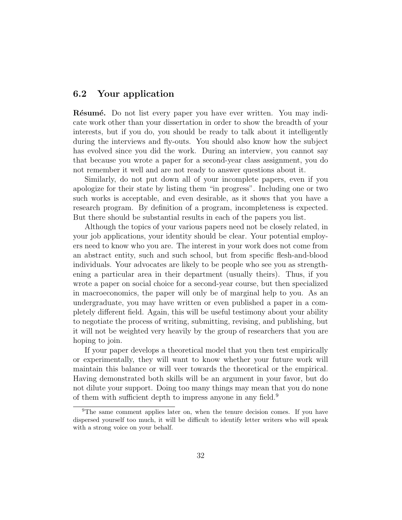### 6.2 Your application

**Résumé.** Do not list every paper you have ever written. You may indicate work other than your dissertation in order to show the breadth of your interests, but if you do, you should be ready to talk about it intelligently during the interviews and fly-outs. You should also know how the subject has evolved since you did the work. During an interview, you cannot say that because you wrote a paper for a second-year class assignment, you do not remember it well and are not ready to answer questions about it.

Similarly, do not put down all of your incomplete papers, even if you apologize for their state by listing them "in progress". Including one or two such works is acceptable, and even desirable, as it shows that you have a research program. By definition of a program, incompleteness is expected. But there should be substantial results in each of the papers you list.

Although the topics of your various papers need not be closely related, in your job applications, your identity should be clear. Your potential employers need to know who you are. The interest in your work does not come from an abstract entity, such and such school, but from specific flesh-and-blood individuals. Your advocates are likely to be people who see you as strengthening a particular area in their department (usually theirs). Thus, if you wrote a paper on social choice for a second-year course, but then specialized in macroeconomics, the paper will only be of marginal help to you. As an undergraduate, you may have written or even published a paper in a completely different field. Again, this will be useful testimony about your ability to negotiate the process of writing, submitting, revising, and publishing, but it will not be weighted very heavily by the group of researchers that you are hoping to join.

If your paper develops a theoretical model that you then test empirically or experimentally, they will want to know whether your future work will maintain this balance or will veer towards the theoretical or the empirical. Having demonstrated both skills will be an argument in your favor, but do not dilute your support. Doing too many things may mean that you do none of them with sufficient depth to impress anyone in any field.<sup>9</sup>

<sup>&</sup>lt;sup>9</sup>The same comment applies later on, when the tenure decision comes. If you have dispersed yourself too much, it will be difficult to identify letter writers who will speak with a strong voice on your behalf.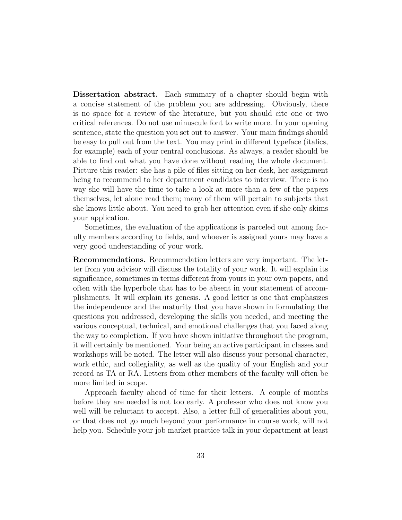Dissertation abstract. Each summary of a chapter should begin with a concise statement of the problem you are addressing. Obviously, there is no space for a review of the literature, but you should cite one or two critical references. Do not use minuscule font to write more. In your opening sentence, state the question you set out to answer. Your main findings should be easy to pull out from the text. You may print in different typeface (italics, for example) each of your central conclusions. As always, a reader should be able to find out what you have done without reading the whole document. Picture this reader: she has a pile of files sitting on her desk, her assignment being to recommend to her department candidates to interview. There is no way she will have the time to take a look at more than a few of the papers themselves, let alone read them; many of them will pertain to subjects that she knows little about. You need to grab her attention even if she only skims your application.

Sometimes, the evaluation of the applications is parceled out among faculty members according to fields, and whoever is assigned yours may have a very good understanding of your work.

Recommendations. Recommendation letters are very important. The letter from you advisor will discuss the totality of your work. It will explain its significance, sometimes in terms different from yours in your own papers, and often with the hyperbole that has to be absent in your statement of accomplishments. It will explain its genesis. A good letter is one that emphasizes the independence and the maturity that you have shown in formulating the questions you addressed, developing the skills you needed, and meeting the various conceptual, technical, and emotional challenges that you faced along the way to completion. If you have shown initiative throughout the program, it will certainly be mentioned. Your being an active participant in classes and workshops will be noted. The letter will also discuss your personal character, work ethic, and collegiality, as well as the quality of your English and your record as TA or RA. Letters from other members of the faculty will often be more limited in scope.

Approach faculty ahead of time for their letters. A couple of months before they are needed is not too early. A professor who does not know you well will be reluctant to accept. Also, a letter full of generalities about you, or that does not go much beyond your performance in course work, will not help you. Schedule your job market practice talk in your department at least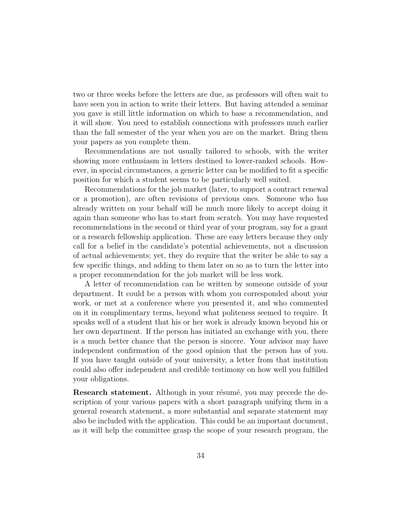two or three weeks before the letters are due, as professors will often wait to have seen you in action to write their letters. But having attended a seminar you gave is still little information on which to base a recommendation, and it will show. You need to establish connections with professors much earlier than the fall semester of the year when you are on the market. Bring them your papers as you complete them.

Recommendations are not usually tailored to schools, with the writer showing more enthusiasm in letters destined to lower-ranked schools. However, in special circumstances, a generic letter can be modified to fit a specific position for which a student seems to be particularly well suited.

Recommendations for the job market (later, to support a contract renewal or a promotion), are often revisions of previous ones. Someone who has already written on your behalf will be much more likely to accept doing it again than someone who has to start from scratch. You may have requested recommendations in the second or third year of your program, say for a grant or a research fellowship application. These are easy letters because they only call for a belief in the candidate's potential achievements, not a discussion of actual achievements; yet, they do require that the writer be able to say a few specific things, and adding to them later on so as to turn the letter into a proper recommendation for the job market will be less work.

A letter of recommendation can be written by someone outside of your department. It could be a person with whom you corresponded about your work, or met at a conference where you presented it, and who commented on it in complimentary terms, beyond what politeness seemed to require. It speaks well of a student that his or her work is already known beyond his or her own department. If the person has initiated an exchange with you, there is a much better chance that the person is sincere. Your advisor may have independent confirmation of the good opinion that the person has of you. If you have taught outside of your university, a letter from that institution could also offer independent and credible testimony on how well you fulfilled your obligations.

**Research statement.** Although in your résumé, you may precede the description of your various papers with a short paragraph unifying them in a general research statement, a more substantial and separate statement may also be included with the application. This could be an important document, as it will help the committee grasp the scope of your research program, the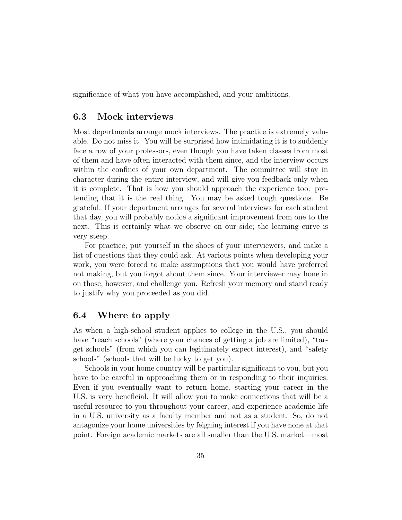significance of what you have accomplished, and your ambitions.

### 6.3 Mock interviews

Most departments arrange mock interviews. The practice is extremely valuable. Do not miss it. You will be surprised how intimidating it is to suddenly face a row of your professors, even though you have taken classes from most of them and have often interacted with them since, and the interview occurs within the confines of your own department. The committee will stay in character during the entire interview, and will give you feedback only when it is complete. That is how you should approach the experience too: pretending that it is the real thing. You may be asked tough questions. Be grateful. If your department arranges for several interviews for each student that day, you will probably notice a significant improvement from one to the next. This is certainly what we observe on our side; the learning curve is very steep.

For practice, put yourself in the shoes of your interviewers, and make a list of questions that they could ask. At various points when developing your work, you were forced to make assumptions that you would have preferred not making, but you forgot about them since. Your interviewer may hone in on those, however, and challenge you. Refresh your memory and stand ready to justify why you proceeded as you did.

### 6.4 Where to apply

As when a high-school student applies to college in the U.S., you should have "reach schools" (where your chances of getting a job are limited), "target schools" (from which you can legitimately expect interest), and "safety schools" (schools that will be lucky to get you).

Schools in your home country will be particular significant to you, but you have to be careful in approaching them or in responding to their inquiries. Even if you eventually want to return home, starting your career in the U.S. is very beneficial. It will allow you to make connections that will be a useful resource to you throughout your career, and experience academic life in a U.S. university as a faculty member and not as a student. So, do not antagonize your home universities by feigning interest if you have none at that point. Foreign academic markets are all smaller than the U.S. market—most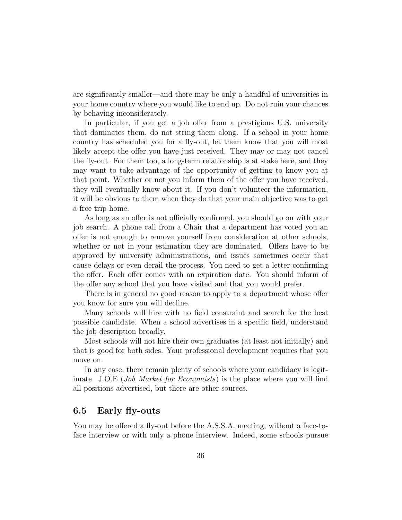are significantly smaller—and there may be only a handful of universities in your home country where you would like to end up. Do not ruin your chances by behaving inconsiderately.

In particular, if you get a job offer from a prestigious U.S. university that dominates them, do not string them along. If a school in your home country has scheduled you for a fly-out, let them know that you will most likely accept the offer you have just received. They may or may not cancel the fly-out. For them too, a long-term relationship is at stake here, and they may want to take advantage of the opportunity of getting to know you at that point. Whether or not you inform them of the offer you have received, they will eventually know about it. If you don't volunteer the information, it will be obvious to them when they do that your main objective was to get a free trip home.

As long as an offer is not officially confirmed, you should go on with your job search. A phone call from a Chair that a department has voted you an offer is not enough to remove yourself from consideration at other schools, whether or not in your estimation they are dominated. Offers have to be approved by university administrations, and issues sometimes occur that cause delays or even derail the process. You need to get a letter confirming the offer. Each offer comes with an expiration date. You should inform of the offer any school that you have visited and that you would prefer.

There is in general no good reason to apply to a department whose offer you know for sure you will decline.

Many schools will hire with no field constraint and search for the best possible candidate. When a school advertises in a specific field, understand the job description broadly.

Most schools will not hire their own graduates (at least not initially) and that is good for both sides. Your professional development requires that you move on.

In any case, there remain plenty of schools where your candidacy is legitimate. J.O.E (*Job Market for Economists*) is the place where you will find all positions advertised, but there are other sources.

### 6.5 Early fly-outs

You may be offered a fly-out before the A.S.S.A. meeting, without a face-toface interview or with only a phone interview. Indeed, some schools pursue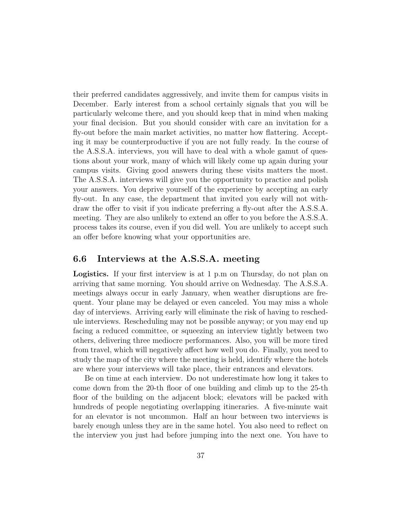their preferred candidates aggressively, and invite them for campus visits in December. Early interest from a school certainly signals that you will be particularly welcome there, and you should keep that in mind when making your final decision. But you should consider with care an invitation for a fly-out before the main market activities, no matter how flattering. Accepting it may be counterproductive if you are not fully ready. In the course of the A.S.S.A. interviews, you will have to deal with a whole gamut of questions about your work, many of which will likely come up again during your campus visits. Giving good answers during these visits matters the most. The A.S.S.A. interviews will give you the opportunity to practice and polish your answers. You deprive yourself of the experience by accepting an early fly-out. In any case, the department that invited you early will not withdraw the offer to visit if you indicate preferring a fly-out after the A.S.S.A. meeting. They are also unlikely to extend an offer to you before the A.S.S.A. process takes its course, even if you did well. You are unlikely to accept such an offer before knowing what your opportunities are.

#### 6.6 Interviews at the A.S.S.A. meeting

Logistics. If your first interview is at 1 p.m on Thursday, do not plan on arriving that same morning. You should arrive on Wednesday. The A.S.S.A. meetings always occur in early January, when weather disruptions are frequent. Your plane may be delayed or even canceled. You may miss a whole day of interviews. Arriving early will eliminate the risk of having to reschedule interviews. Rescheduling may not be possible anyway; or you may end up facing a reduced committee, or squeezing an interview tightly between two others, delivering three mediocre performances. Also, you will be more tired from travel, which will negatively affect how well you do. Finally, you need to study the map of the city where the meeting is held, identify where the hotels are where your interviews will take place, their entrances and elevators.

Be on time at each interview. Do not underestimate how long it takes to come down from the 20-th floor of one building and climb up to the 25-th floor of the building on the adjacent block; elevators will be packed with hundreds of people negotiating overlapping itineraries. A five-minute wait for an elevator is not uncommon. Half an hour between two interviews is barely enough unless they are in the same hotel. You also need to reflect on the interview you just had before jumping into the next one. You have to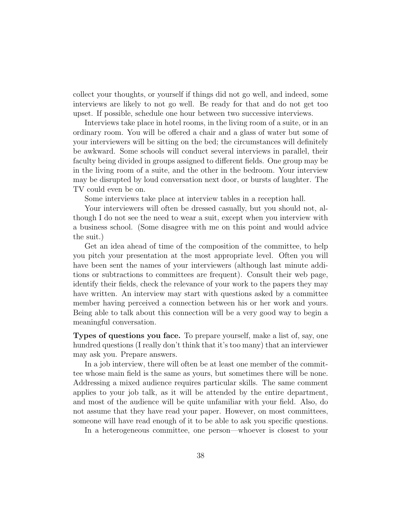collect your thoughts, or yourself if things did not go well, and indeed, some interviews are likely to not go well. Be ready for that and do not get too upset. If possible, schedule one hour between two successive interviews.

Interviews take place in hotel rooms, in the living room of a suite, or in an ordinary room. You will be offered a chair and a glass of water but some of your interviewers will be sitting on the bed; the circumstances will definitely be awkward. Some schools will conduct several interviews in parallel, their faculty being divided in groups assigned to different fields. One group may be in the living room of a suite, and the other in the bedroom. Your interview may be disrupted by loud conversation next door, or bursts of laughter. The TV could even be on.

Some interviews take place at interview tables in a reception hall.

Your interviewers will often be dressed casually, but you should not, although I do not see the need to wear a suit, except when you interview with a business school. (Some disagree with me on this point and would advice the suit.)

Get an idea ahead of time of the composition of the committee, to help you pitch your presentation at the most appropriate level. Often you will have been sent the names of your interviewers (although last minute additions or subtractions to committees are frequent). Consult their web page, identify their fields, check the relevance of your work to the papers they may have written. An interview may start with questions asked by a committee member having perceived a connection between his or her work and yours. Being able to talk about this connection will be a very good way to begin a meaningful conversation.

Types of questions you face. To prepare yourself, make a list of, say, one hundred questions (I really don't think that it's too many) that an interviewer may ask you. Prepare answers.

In a job interview, there will often be at least one member of the committee whose main field is the same as yours, but sometimes there will be none. Addressing a mixed audience requires particular skills. The same comment applies to your job talk, as it will be attended by the entire department, and most of the audience will be quite unfamiliar with your field. Also, do not assume that they have read your paper. However, on most committees, someone will have read enough of it to be able to ask you specific questions.

In a heterogeneous committee, one person—whoever is closest to your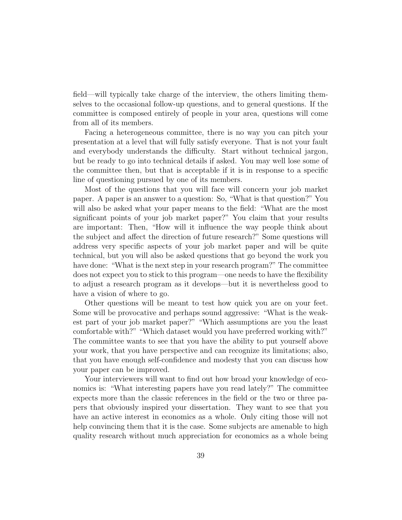field—will typically take charge of the interview, the others limiting themselves to the occasional follow-up questions, and to general questions. If the committee is composed entirely of people in your area, questions will come from all of its members.

Facing a heterogeneous committee, there is no way you can pitch your presentation at a level that will fully satisfy everyone. That is not your fault and everybody understands the difficulty. Start without technical jargon, but be ready to go into technical details if asked. You may well lose some of the committee then, but that is acceptable if it is in response to a specific line of questioning pursued by one of its members.

Most of the questions that you will face will concern your job market paper. A paper is an answer to a question: So, "What is that question?" You will also be asked what your paper means to the field: "What are the most significant points of your job market paper?" You claim that your results are important: Then, "How will it influence the way people think about the subject and affect the direction of future research?" Some questions will address very specific aspects of your job market paper and will be quite technical, but you will also be asked questions that go beyond the work you have done: "What is the next step in your research program?" The committee does not expect you to stick to this program—one needs to have the flexibility to adjust a research program as it develops—but it is nevertheless good to have a vision of where to go.

Other questions will be meant to test how quick you are on your feet. Some will be provocative and perhaps sound aggressive: "What is the weakest part of your job market paper?" "Which assumptions are you the least comfortable with?" "Which dataset would you have preferred working with?" The committee wants to see that you have the ability to put yourself above your work, that you have perspective and can recognize its limitations; also, that you have enough self-confidence and modesty that you can discuss how your paper can be improved.

Your interviewers will want to find out how broad your knowledge of economics is: "What interesting papers have you read lately?" The committee expects more than the classic references in the field or the two or three papers that obviously inspired your dissertation. They want to see that you have an active interest in economics as a whole. Only citing those will not help convincing them that it is the case. Some subjects are amenable to high quality research without much appreciation for economics as a whole being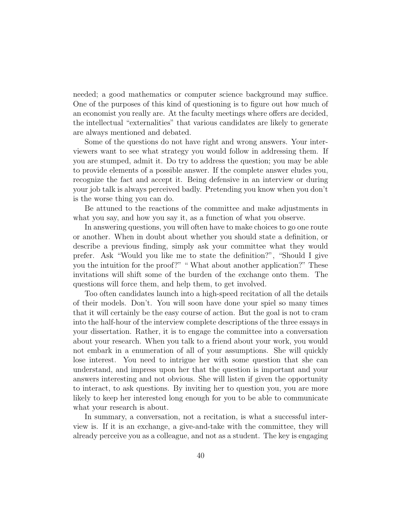needed; a good mathematics or computer science background may suffice. One of the purposes of this kind of questioning is to figure out how much of an economist you really are. At the faculty meetings where offers are decided, the intellectual "externalities" that various candidates are likely to generate are always mentioned and debated.

Some of the questions do not have right and wrong answers. Your interviewers want to see what strategy you would follow in addressing them. If you are stumped, admit it. Do try to address the question; you may be able to provide elements of a possible answer. If the complete answer eludes you, recognize the fact and accept it. Being defensive in an interview or during your job talk is always perceived badly. Pretending you know when you don't is the worse thing you can do.

Be attuned to the reactions of the committee and make adjustments in what you say, and how you say it, as a function of what you observe.

In answering questions, you will often have to make choices to go one route or another. When in doubt about whether you should state a definition, or describe a previous finding, simply ask your committee what they would prefer. Ask "Would you like me to state the definition?", "Should I give you the intuition for the proof?" " What about another application?" These invitations will shift some of the burden of the exchange onto them. The questions will force them, and help them, to get involved.

Too often candidates launch into a high-speed recitation of all the details of their models. Don't. You will soon have done your spiel so many times that it will certainly be the easy course of action. But the goal is not to cram into the half-hour of the interview complete descriptions of the three essays in your dissertation. Rather, it is to engage the committee into a conversation about your research. When you talk to a friend about your work, you would not embark in a enumeration of all of your assumptions. She will quickly lose interest. You need to intrigue her with some question that she can understand, and impress upon her that the question is important and your answers interesting and not obvious. She will listen if given the opportunity to interact, to ask questions. By inviting her to question you, you are more likely to keep her interested long enough for you to be able to communicate what your research is about.

In summary, a conversation, not a recitation, is what a successful interview is. If it is an exchange, a give-and-take with the committee, they will already perceive you as a colleague, and not as a student. The key is engaging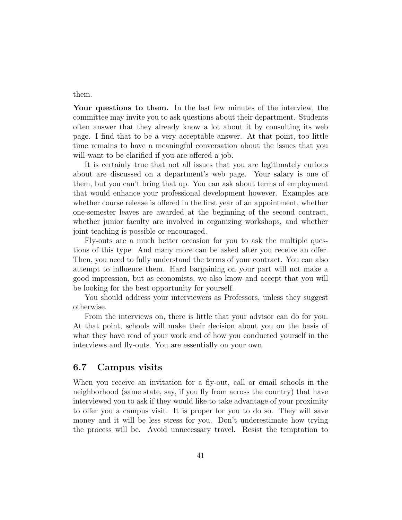them.

Your questions to them. In the last few minutes of the interview, the committee may invite you to ask questions about their department. Students often answer that they already know a lot about it by consulting its web page. I find that to be a very acceptable answer. At that point, too little time remains to have a meaningful conversation about the issues that you will want to be clarified if you are offered a job.

It is certainly true that not all issues that you are legitimately curious about are discussed on a department's web page. Your salary is one of them, but you can't bring that up. You can ask about terms of employment that would enhance your professional development however. Examples are whether course release is offered in the first year of an appointment, whether one-semester leaves are awarded at the beginning of the second contract, whether junior faculty are involved in organizing workshops, and whether joint teaching is possible or encouraged.

Fly-outs are a much better occasion for you to ask the multiple questions of this type. And many more can be asked after you receive an offer. Then, you need to fully understand the terms of your contract. You can also attempt to influence them. Hard bargaining on your part will not make a good impression, but as economists, we also know and accept that you will be looking for the best opportunity for yourself.

You should address your interviewers as Professors, unless they suggest otherwise.

From the interviews on, there is little that your advisor can do for you. At that point, schools will make their decision about you on the basis of what they have read of your work and of how you conducted yourself in the interviews and fly-outs. You are essentially on your own.

### 6.7 Campus visits

When you receive an invitation for a fly-out, call or email schools in the neighborhood (same state, say, if you fly from across the country) that have interviewed you to ask if they would like to take advantage of your proximity to offer you a campus visit. It is proper for you to do so. They will save money and it will be less stress for you. Don't underestimate how trying the process will be. Avoid unnecessary travel. Resist the temptation to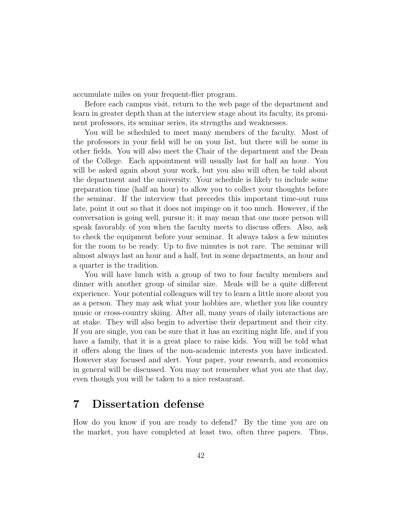accumulate miles on your frequent-flier program.

Before each campus visit, return to the web page of the department and learn in greater depth than at the interview stage about its faculty, its prominent professors, its seminar series, its strengths and weaknesses.

You will be scheduled to meet many members of the faculty. Most of the professors in your field will be on your list, but there will be some in other fields. You will also meet the Chair of the department and the Dean of the College. Each appointment will usually last for half an hour. You will be asked again about your work, but you also will often be told about the department and the university. Your schedule is likely to include some preparation time (half an hour) to allow you to collect your thoughts before the seminar. If the interview that precedes this important time-out runs late, point it out so that it does not impinge on it too much. However, if the conversation is going well, pursue it; it may mean that one more person will speak favorably of you when the faculty meets to discuss offers. Also, ask to check the equipment before your seminar. It always takes a few minutes for the room to be ready. Up to five minutes is not rare. The seminar will almost always last an hour and a half, but in some departments, an hour and a quarter is the tradition.

You will have lunch with a group of two to four faculty members and dinner with another group of similar size. Meals will be a quite different experience. Your potential colleagues will try to learn a little more about you as a person. They may ask what your hobbies are, whether you like country music or cross-country skiing. After all, many years of daily interactions are at stake. They will also begin to advertise their department and their city. If you are single, you can be sure that it has an exciting night life, and if you have a family, that it is a great place to raise kids. You will be told what it offers along the lines of the non-academic interests you have indicated. However stay focused and alert. Your paper, your research, and economics in general will be discussed. You may not remember what you ate that day, even though you will be taken to a nice restaurant.

# 7 Dissertation defense

How do you know if you are ready to defend? By the time you are on the market, you have completed at least two, often three papers. Thus,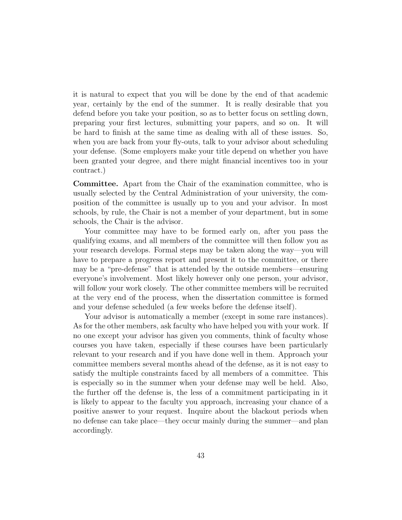it is natural to expect that you will be done by the end of that academic year, certainly by the end of the summer. It is really desirable that you defend before you take your position, so as to better focus on settling down, preparing your first lectures, submitting your papers, and so on. It will be hard to finish at the same time as dealing with all of these issues. So, when you are back from your fly-outs, talk to your advisor about scheduling your defense. (Some employers make your title depend on whether you have been granted your degree, and there might financial incentives too in your contract.)

Committee. Apart from the Chair of the examination committee, who is usually selected by the Central Administration of your university, the composition of the committee is usually up to you and your advisor. In most schools, by rule, the Chair is not a member of your department, but in some schools, the Chair is the advisor.

Your committee may have to be formed early on, after you pass the qualifying exams, and all members of the committee will then follow you as your research develops. Formal steps may be taken along the way—you will have to prepare a progress report and present it to the committee, or there may be a "pre-defense" that is attended by the outside members—ensuring everyone's involvement. Most likely however only one person, your advisor, will follow your work closely. The other committee members will be recruited at the very end of the process, when the dissertation committee is formed and your defense scheduled (a few weeks before the defense itself).

Your advisor is automatically a member (except in some rare instances). As for the other members, ask faculty who have helped you with your work. If no one except your advisor has given you comments, think of faculty whose courses you have taken, especially if these courses have been particularly relevant to your research and if you have done well in them. Approach your committee members several months ahead of the defense, as it is not easy to satisfy the multiple constraints faced by all members of a committee. This is especially so in the summer when your defense may well be held. Also, the further off the defense is, the less of a commitment participating in it is likely to appear to the faculty you approach, increasing your chance of a positive answer to your request. Inquire about the blackout periods when no defense can take place—they occur mainly during the summer—and plan accordingly.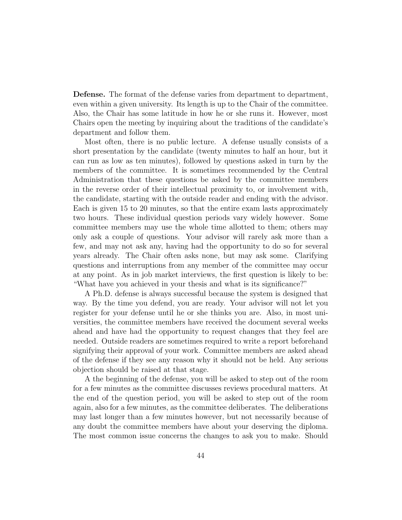Defense. The format of the defense varies from department to department, even within a given university. Its length is up to the Chair of the committee. Also, the Chair has some latitude in how he or she runs it. However, most Chairs open the meeting by inquiring about the traditions of the candidate's department and follow them.

Most often, there is no public lecture. A defense usually consists of a short presentation by the candidate (twenty minutes to half an hour, but it can run as low as ten minutes), followed by questions asked in turn by the members of the committee. It is sometimes recommended by the Central Administration that these questions be asked by the committee members in the reverse order of their intellectual proximity to, or involvement with, the candidate, starting with the outside reader and ending with the advisor. Each is given 15 to 20 minutes, so that the entire exam lasts approximately two hours. These individual question periods vary widely however. Some committee members may use the whole time allotted to them; others may only ask a couple of questions. Your advisor will rarely ask more than a few, and may not ask any, having had the opportunity to do so for several years already. The Chair often asks none, but may ask some. Clarifying questions and interruptions from any member of the committee may occur at any point. As in job market interviews, the first question is likely to be: "What have you achieved in your thesis and what is its significance?"

A Ph.D. defense is always successful because the system is designed that way. By the time you defend, you are ready. Your advisor will not let you register for your defense until he or she thinks you are. Also, in most universities, the committee members have received the document several weeks ahead and have had the opportunity to request changes that they feel are needed. Outside readers are sometimes required to write a report beforehand signifying their approval of your work. Committee members are asked ahead of the defense if they see any reason why it should not be held. Any serious objection should be raised at that stage.

A the beginning of the defense, you will be asked to step out of the room for a few minutes as the committee discusses reviews procedural matters. At the end of the question period, you will be asked to step out of the room again, also for a few minutes, as the committee deliberates. The deliberations may last longer than a few minutes however, but not necessarily because of any doubt the committee members have about your deserving the diploma. The most common issue concerns the changes to ask you to make. Should